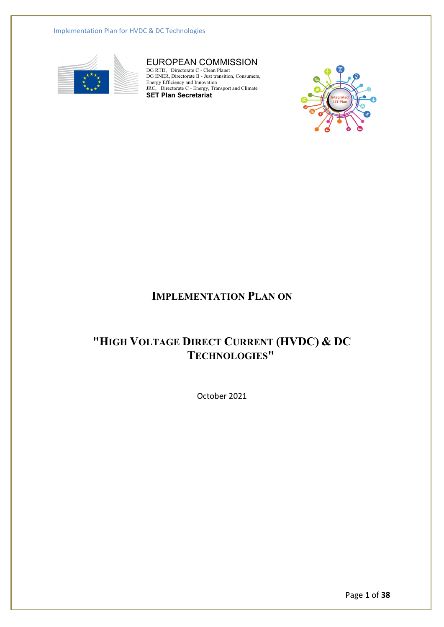Implementation Plan for HVDC & DC Technologies



## EUROPEAN COMMISSION

DG RTD, Directorate C - Clean Planet DG ENER, Directorate B - Just transition, Consumers, Energy Efficiency and Innovation JRC, Directorate C - Energy, Transport and Climate **SET Plan Secretariat**



## **IMPLEMENTATION PLAN ON**

# **"HIGH VOLTAGE DIRECT CURRENT (HVDC) & DC TECHNOLOGIES"**

October 2021

Page **1** of **38**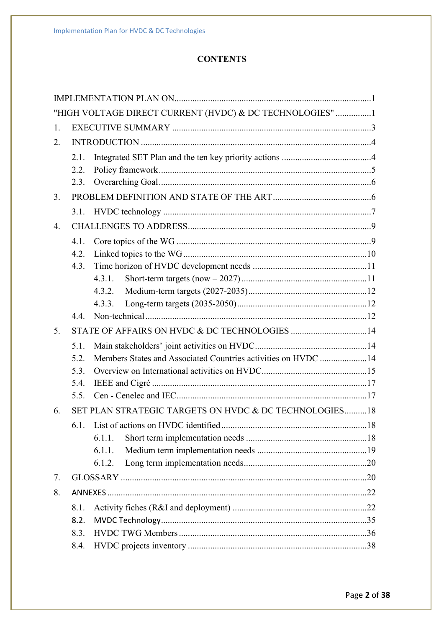## **CONTENTS**

|                  |      | "HIGH VOLTAGE DIRECT CURRENT (HVDC) & DC TECHNOLOGIES" 1      |
|------------------|------|---------------------------------------------------------------|
| 1.               |      |                                                               |
| 2.               |      |                                                               |
|                  | 2.1. |                                                               |
|                  | 2.2. |                                                               |
|                  | 2.3. |                                                               |
| 3.               |      |                                                               |
|                  |      |                                                               |
| $\overline{4}$ . |      |                                                               |
|                  | 4.1. |                                                               |
|                  | 4.2. |                                                               |
|                  | 4.3. |                                                               |
|                  |      | 4.3.1.                                                        |
|                  |      | 4.3.2.                                                        |
|                  |      | 4.3.3.                                                        |
|                  | 4.4  |                                                               |
| 5.               |      | STATE OF AFFAIRS ON HVDC & DC TECHNOLOGIES 14                 |
|                  | 5.1. |                                                               |
|                  | 5.2. | Members States and Associated Countries activities on HVDC 14 |
|                  | 5.3. |                                                               |
|                  | 5.4. |                                                               |
|                  | 5.5. |                                                               |
| 6.               |      | SET PLAN STRATEGIC TARGETS ON HVDC & DC TECHNOLOGIES18        |
|                  |      |                                                               |
|                  |      | 6.1.1.                                                        |
|                  |      | 6.1.1.                                                        |
|                  |      | 6.1.2.                                                        |
| 7.               |      |                                                               |
| 8.               |      |                                                               |
|                  | 8.1. |                                                               |
|                  | 8.2. |                                                               |
|                  | 8.3. |                                                               |
|                  | 8.4. |                                                               |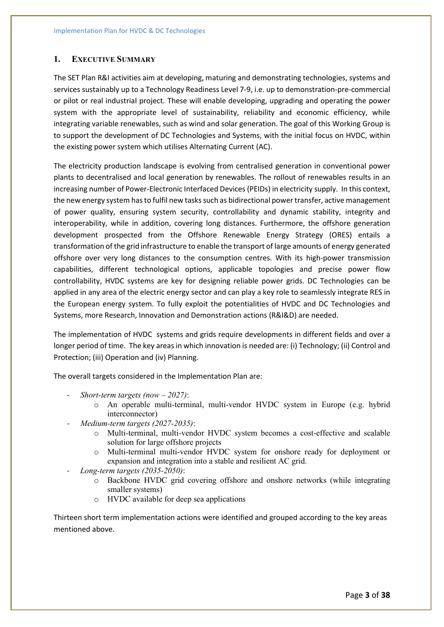### **1. EXECUTIVE SUMMARY**

The SET Plan R&I activities aim at developing, maturing and demonstrating technologies, systems and services sustainably up to a Technology Readiness Level 7-9, i.e. up to demonstration-pre-commercial or pilot or real industrial project. These will enable developing, upgrading and operating the power system with the appropriate level of sustainability, reliability and economic efficiency, while integrating variable renewables, such as wind and solar generation. The goal of this Working Group is to support the development of DC Technologies and Systems, with the initial focus on HVDC, within the existing power system which utilises Alternating Current (AC).

The electricity production landscape is evolving from centralised generation in conventional power plants to decentralised and local generation by renewables. The rollout of renewables results in an increasing number of Power-Electronic Interfaced Devices (PEIDs) in electricity supply. In this context, the new energy system has to fulfil new tasks such as bidirectional power transfer, active management of power quality, ensuring system security, controllability and dynamic stability, integrity and interoperability, while in addition, covering long distances. Furthermore, the offshore generation development prospected from the Offshore Renewable Energy Strategy (ORES) entails a transformation of the grid infrastructure to enable the transport of large amounts of energy generated offshore over very long distances to the consumption centres. With its high-power transmission capabilities, different technological options, applicable topologies and precise power flow controllability, HVDC systems are key for designing reliable power grids. DC Technologies can be applied in any area of the electric energy sector and can play a key role to seamlessly integrate RES in the European energy system. To fully exploit the potentialities of HVDC and DC Technologies and Systems, more Research, Innovation and Demonstration actions (R&I&D) are needed.

The implementation of HVDC systems and grids require developments in different fields and over a longer period of time. The key areas in which innovation is needed are: (i) Technology; (ii) Control and Protection; (iii) Operation and (iv) Planning.

The overall targets considered in the Implementation Plan are:

- *Short-term targets (now – 2027)*:
	- o An operable multi-terminal, multi-vendor HVDC system in Europe (e.g. hybrid interconnector)
- *Medium-term targets (2027-2035)*:
	- o Multi-terminal, multi-vendor HVDC system becomes a cost-effective and scalable solution for large offshore projects
	- o Multi-terminal multi-vendor HVDC system for onshore ready for deployment or expansion and integration into a stable and resilient AC grid.
- *Long-term targets (2035-2050)*:
	- o Backbone HVDC grid covering offshore and onshore networks (while integrating smaller systems)
	- o HVDC available for deep sea applications

Thirteen short term implementation actions were identified and grouped according to the key areas mentioned above.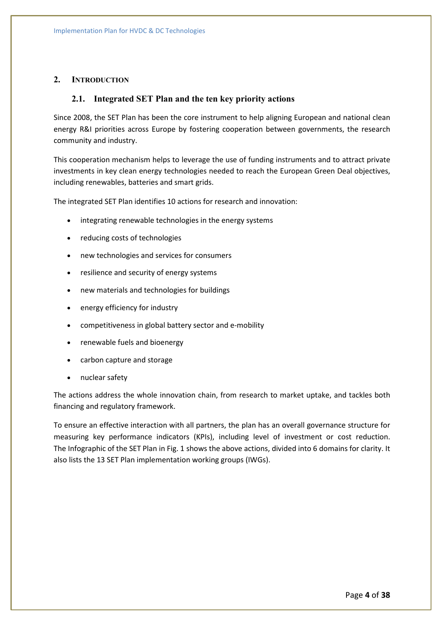## **2. INTRODUCTION**

### **2.1. Integrated SET Plan and the ten key priority actions**

Since 2008, the SET Plan has been the core instrument to help aligning European and national clean energy R&I priorities across Europe by fostering cooperation between governments, the research community and industry.

This cooperation mechanism helps to leverage the use of funding instruments and to attract private investments in key clean energy technologies needed to reach the European Green Deal objectives, including renewables, batteries and smart grids.

The integrated SET Plan identifies 10 actions for research and innovation:

- integrating renewable technologies in the energy systems
- reducing costs of technologies
- new technologies and services for consumers
- resilience and security of energy systems
- new materials and technologies for buildings
- energy efficiency for industry
- competitiveness in global battery sector and e-mobility
- renewable fuels and bioenergy
- carbon capture and storage
- nuclear safety

The actions address the whole innovation chain, from research to market uptake, and tackles both financing and regulatory framework.

To ensure an effective interaction with all partners, the plan has an overall governance structure for measuring key performance indicators (KPIs), including level of investment or cost reduction. The Infographic of the SET Plan in Fig. 1 shows the above actions, divided into 6 domains for clarity. It also lists the 13 SET Plan implementation working groups (IWGs).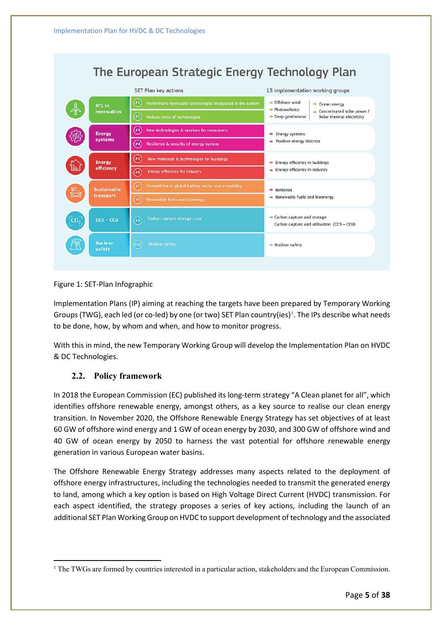Implementation Plan for HVDC & DC Technologies

|                 | The European Strategic Energy Technology Plan |                                                                                     |                                                                                                        |  |  |  |  |  |  |
|-----------------|-----------------------------------------------|-------------------------------------------------------------------------------------|--------------------------------------------------------------------------------------------------------|--|--|--|--|--|--|
|                 |                                               | SET Plan key actions                                                                | 13 implementation working groups                                                                       |  |  |  |  |  |  |
|                 | $N°1$ in                                      | $\left( \#1 \right)$<br>Performant renewable technologies integrated in the system  | $\rightarrow$ Offshore wind<br>$\rightarrow$ Ocean energy<br>$\rightarrow$ Photovoltaics               |  |  |  |  |  |  |
|                 | renewables                                    | $\widehat{F}$<br><b>Reduce costs of technologies</b>                                | $\rightarrow$ Concentrated solar power /<br>$\rightarrow$ Deep geothermal<br>Solar thermal electricity |  |  |  |  |  |  |
|                 | <b>Energy</b><br>systems                      | $(\ast$ 3)<br>New technologies & services for consumers                             | $\rightarrow$ Energy systems                                                                           |  |  |  |  |  |  |
|                 |                                               | $(*4)$<br>Resilience & security of energy system                                    | $\rightarrow$ Positive energy districts                                                                |  |  |  |  |  |  |
|                 | <b>Energy</b><br>efficiency                   | (#S)<br>New materials & technologies for buildings                                  | $\rightarrow$ Energy efficiency in buildings                                                           |  |  |  |  |  |  |
|                 |                                               | <b>Energy efficiency for industry</b><br>(16)                                       | $\rightarrow$ Energy efficiency in industry                                                            |  |  |  |  |  |  |
|                 | <b>Sustainable</b><br>transport               | $\left( \frac{1}{2} \right)$<br>Competitive in global battery sector and e-mobility | $\rightarrow$ Batteries                                                                                |  |  |  |  |  |  |
|                 |                                               | $^{\prime}$ #8<br><b>Renewable fuels and bioenergy</b>                              | $\rightarrow$ Renewable fuels and bioenergy                                                            |  |  |  |  |  |  |
| CO <sub>2</sub> | $ccs$ - $ccu$                                 | Carbon capture storage / use<br>(#9                                                 | $\rightarrow$ Carbon capture and storage<br>Carbon capture and utilisation (CCS - CCU)                 |  |  |  |  |  |  |
|                 | <b>Nuclear</b><br>safety                      | $(*10)$<br><b>Nuclear safety</b>                                                    | $\rightarrow$ Nuclear safety                                                                           |  |  |  |  |  |  |

## Figure 1: SET-Plan Infographic

Implementation Plans (IP) aiming at reaching the targets have been prepared by Temporary Working Groups (TWG), each led (or co-led) by one (or two) SET Plan country(ies)<sup>[1](#page-4-0)</sup>. The IPs describe what needs to be done, how, by whom and when, and how to monitor progress.

With this in mind, the new Temporary Working Group will develop the Implementation Plan on HVDC & DC Technologies.

## **2.2. Policy framework**

In 2018 the European Commission (EC) published its long-term strategy "A Clean planet for all", which identifies offshore renewable energy, amongst others, as a key source to realise our clean energy transition. In November 2020, the Offshore Renewable Energy Strategy has set objectives of at least 60 GW of offshore wind energy and 1 GW of ocean energy by 2030, and 300 GW of offshore wind and 40 GW of ocean energy by 2050 to harness the vast potential for offshore renewable energy generation in various European water basins.

The Offshore Renewable Energy Strategy addresses many aspects related to the deployment of offshore energy infrastructures, including the technologies needed to transmit the generated energy to land, among which a key option is based on High Voltage Direct Current (HVDC) transmission. For each aspect identified, the strategy proposes a series of key actions, including the launch of an additional SET Plan Working Group on HVDC to support development of technology and the associated

<span id="page-4-0"></span><sup>&</sup>lt;sup>1</sup> The TWGs are formed by countries interested in a particular action, stakeholders and the European Commission.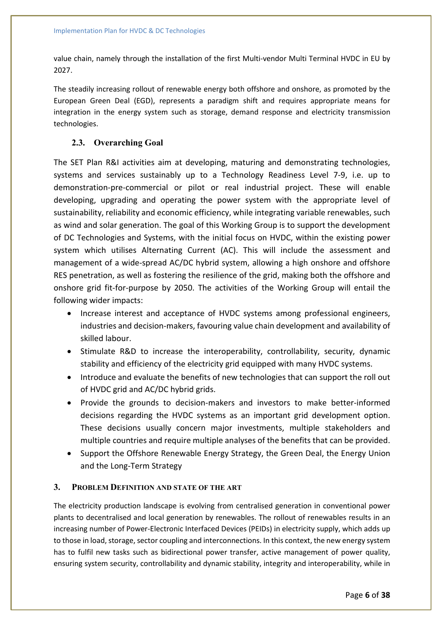value chain, namely through the installation of the first Multi-vendor Multi Terminal HVDC in EU by 2027.

The steadily increasing rollout of renewable energy both offshore and onshore, as promoted by the European Green Deal (EGD), represents a paradigm shift and requires appropriate means for integration in the energy system such as storage, demand response and electricity transmission technologies.

## **2.3. Overarching Goal**

The SET Plan R&I activities aim at developing, maturing and demonstrating technologies, systems and services sustainably up to a Technology Readiness Level 7-9, i.e. up to demonstration-pre-commercial or pilot or real industrial project. These will enable developing, upgrading and operating the power system with the appropriate level of sustainability, reliability and economic efficiency, while integrating variable renewables, such as wind and solar generation. The goal of this Working Group is to support the development of DC Technologies and Systems, with the initial focus on HVDC, within the existing power system which utilises Alternating Current (AC). This will include the assessment and management of a wide-spread AC/DC hybrid system, allowing a high onshore and offshore RES penetration, as well as fostering the resilience of the grid, making both the offshore and onshore grid fit-for-purpose by 2050. The activities of the Working Group will entail the following wider impacts:

- Increase interest and acceptance of HVDC systems among professional engineers, industries and decision-makers, favouring value chain development and availability of skilled labour.
- Stimulate R&D to increase the interoperability, controllability, security, dynamic stability and efficiency of the electricity grid equipped with many HVDC systems.
- Introduce and evaluate the benefits of new technologies that can support the roll out of HVDC grid and AC/DC hybrid grids.
- Provide the grounds to decision-makers and investors to make better-informed decisions regarding the HVDC systems as an important grid development option. These decisions usually concern major investments, multiple stakeholders and multiple countries and require multiple analyses of the benefits that can be provided.
- Support the Offshore Renewable Energy Strategy, the Green Deal, the Energy Union and the Long-Term Strategy

## **3. PROBLEM DEFINITION AND STATE OF THE ART**

The electricity production landscape is evolving from centralised generation in conventional power plants to decentralised and local generation by renewables. The rollout of renewables results in an increasing number of Power-Electronic Interfaced Devices (PEIDs) in electricity supply, which adds up to those in load, storage, sector coupling and interconnections. In this context, the new energy system has to fulfil new tasks such as bidirectional power transfer, active management of power quality, ensuring system security, controllability and dynamic stability, integrity and interoperability, while in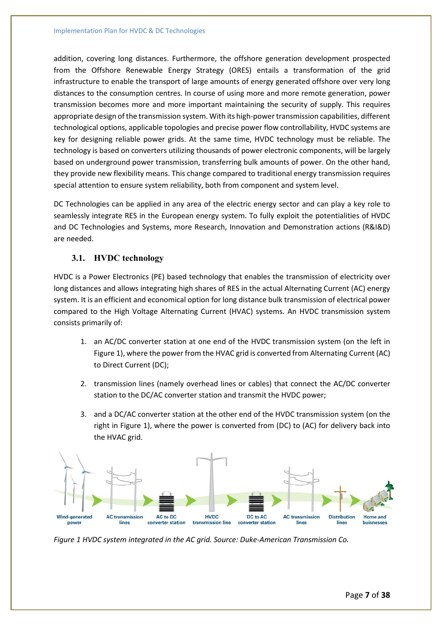addition, covering long distances. Furthermore, the offshore generation development prospected from the Offshore Renewable Energy Strategy (ORES) entails a transformation of the grid infrastructure to enable the transport of large amounts of energy generated offshore over very long distances to the consumption centres. In course of using more and more remote generation, power transmission becomes more and more important maintaining the security of supply. This requires appropriate design of the transmission system. With its high-power transmission capabilities, different technological options, applicable topologies and precise power flow controllability, HVDC systems are key for designing reliable power grids. At the same time, HVDC technology must be reliable. The technology is based on converters utilizing thousands of power electronic components, will be largely based on underground power transmission, transferring bulk amounts of power. On the other hand, they provide new flexibility means. This change compared to traditional energy transmission requires special attention to ensure system reliability, both from component and system level.

DC Technologies can be applied in any area of the electric energy sector and can play a key role to seamlessly integrate RES in the European energy system. To fully exploit the potentialities of HVDC and DC Technologies and Systems, more Research, Innovation and Demonstration actions (R&I&D) are needed.

## **3.1. HVDC technology**

HVDC is a Power Electronics (PE) based technology that enables the transmission of electricity over long distances and allows integrating high shares of RES in the actual Alternating Current (AC) energy system. It is an efficient and economical option for long distance bulk transmission of electrical power compared to the High Voltage Alternating Current (HVAC) systems. An HVDC transmission system consists primarily of:

- 1. an AC/DC converter station at one end of the HVDC transmission system (on the left in Figure 1), where the power from the HVAC grid is converted from Alternating Current (AC) to Direct Current (DC);
- 2. transmission lines (namely overhead lines or cables) that connect the AC/DC converter station to the DC/AC converter station and transmit the HVDC power;
- 3. and a DC/AC converter station at the other end of the HVDC transmission system (on the right in Figure 1), where the power is converted from (DC) to (AC) for delivery back into the HVAC grid.



*Figure 1 HVDC system integrated in the AC grid. Source: Duke-American Transmission Co.*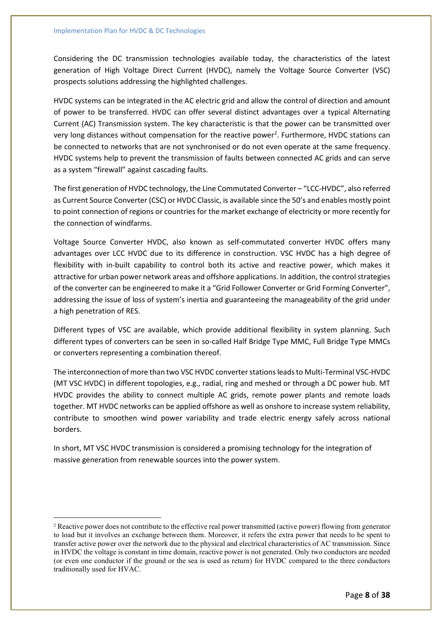Considering the DC transmission technologies available today, the characteristics of the latest generation of High Voltage Direct Current (HVDC), namely the Voltage Source Converter (VSC) prospects solutions addressing the highlighted challenges.

HVDC systems can be integrated in the AC electric grid and allow the control of direction and amount of power to be transferred. HVDC can offer several distinct advantages over a typical Alternating Current (AC) Transmission system. The key characteristic is that the power can be transmitted over very long distances without compensation for the reactive power<sup>[2](#page-7-0)</sup>. Furthermore, HVDC stations can be connected to networks that are not synchronised or do not even operate at the same frequency. HVDC systems help to prevent the transmission of faults between connected AC grids and can serve as a system "firewall" against cascading faults.

The first generation of HVDC technology, the Line Commutated Converter – "LCC-HVDC", also referred as Current Source Converter (CSC) or HVDC Classic, is available since the 50's and enables mostly point to point connection of regions or countries for the market exchange of electricity or more recently for the connection of windfarms.

Voltage Source Converter HVDC, also known as self-commutated converter HVDC offers many advantages over LCC HVDC due to its difference in construction. VSC HVDC has a high degree of flexibility with in-built capability to control both its active and reactive power, which makes it attractive for urban power network areas and offshore applications. In addition, the control strategies of the converter can be engineered to make it a "Grid Follower Converter or Grid Forming Converter", addressing the issue of loss of system's inertia and guaranteeing the manageability of the grid under a high penetration of RES.

Different types of VSC are available, which provide additional flexibility in system planning. Such different types of converters can be seen in so-called Half Bridge Type MMC, Full Bridge Type MMCs or converters representing a combination thereof.

The interconnection of more than two VSC HVDC converter stations leads to Multi-Terminal VSC-HVDC (MT VSC HVDC) in different topologies, e.g., radial, ring and meshed or through a DC power hub. MT HVDC provides the ability to connect multiple AC grids, remote power plants and remote loads together. MT HVDC networks can be applied offshore as well as onshore to increase system reliability, contribute to smoothen wind power variability and trade electric energy safely across national borders.

In short, MT VSC HVDC transmission is considered a promising technology for the integration of massive generation from renewable sources into the power system.

<span id="page-7-0"></span><sup>2</sup> Reactive power does not contribute to the effective real power transmitted (active power) flowing from generator to load but it involves an exchange between them. Moreover, it refers the extra power that needs to be spent to transfer active power over the network due to the physical and electrical characteristics of AC transmission. Since in HVDC the voltage is constant in time domain, reactive power is not generated. Only two conductors are needed (or even one conductor if the ground or the sea is used as return) for HVDC compared to the three conductors traditionally used for HVAC.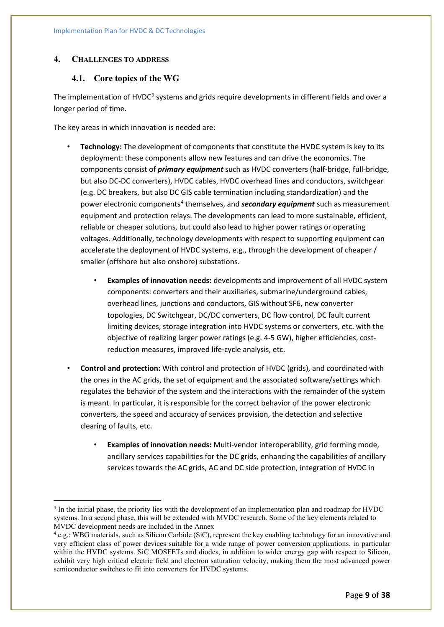## **4. CHALLENGES TO ADDRESS**

## **4.1. Core topics of the WG**

The implementation of HVDC $3$  systems and grids require developments in different fields and over a longer period of time.

The key areas in which innovation is needed are:

- **Technology:** The development of components that constitute the HVDC system is key to its deployment: these components allow new features and can drive the economics. The components consist of *primary equipment* such as HVDC converters (half-bridge, full-bridge, but also DC-DC converters), HVDC cables, HVDC overhead lines and conductors, switchgear (e.g. DC breakers, but also DC GIS cable termination including standardization) and the power electronic components[4](#page-8-1) themselves, and *secondary equipment* such as measurement equipment and protection relays. The developments can lead to more sustainable, efficient, reliable or cheaper solutions, but could also lead to higher power ratings or operating voltages. Additionally, technology developments with respect to supporting equipment can accelerate the deployment of HVDC systems, e.g., through the development of cheaper / smaller (offshore but also onshore) substations.
	- **Examples of innovation needs:** developments and improvement of all HVDC system components: converters and their auxiliaries, submarine/underground cables, overhead lines, junctions and conductors, GIS without SF6, new converter topologies, DC Switchgear, DC/DC converters, DC flow control, DC fault current limiting devices, storage integration into HVDC systems or converters, etc. with the objective of realizing larger power ratings (e.g. 4-5 GW), higher efficiencies, costreduction measures, improved life-cycle analysis, etc.
- **Control and protection:** With control and protection of HVDC (grids), and coordinated with the ones in the AC grids, the set of equipment and the associated software/settings which regulates the behavior of the system and the interactions with the remainder of the system is meant. In particular, it is responsible for the correct behavior of the power electronic converters, the speed and accuracy of services provision, the detection and selective clearing of faults, etc.
	- **Examples of innovation needs:** Multi-vendor interoperability, grid forming mode, ancillary services capabilities for the DC grids, enhancing the capabilities of ancillary services towards the AC grids, AC and DC side protection, integration of HVDC in

<span id="page-8-0"></span><sup>3</sup> In the initial phase, the priority lies with the development of an implementation plan and roadmap for HVDC systems. In a second phase, this will be extended with MVDC research. Some of the key elements related to MVDC development needs are included in the Annex

<span id="page-8-1"></span><sup>4</sup> e.g.: WBG materials, such as Silicon Carbide (SiC), represent the key enabling technology for an innovative and very efficient class of power devices suitable for a wide range of power conversion applications, in particular within the HVDC systems. SiC MOSFETs and diodes, in addition to wider energy gap with respect to Silicon, exhibit very high critical electric field and electron saturation velocity, making them the most advanced power semiconductor switches to fit into converters for HVDC systems.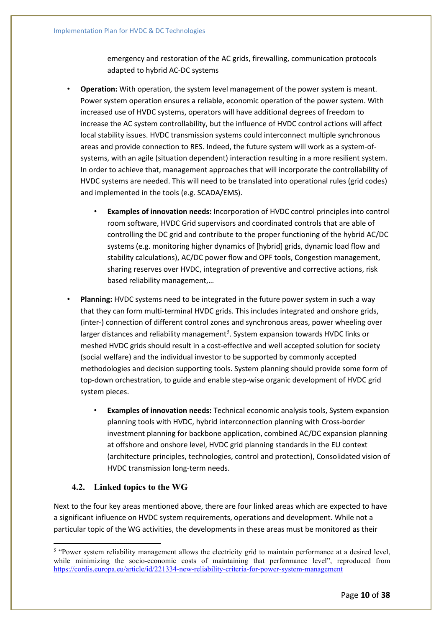emergency and restoration of the AC grids, firewalling, communication protocols adapted to hybrid AC-DC systems

- **Operation:** With operation, the system level management of the power system is meant. Power system operation ensures a reliable, economic operation of the power system. With increased use of HVDC systems, operators will have additional degrees of freedom to increase the AC system controllability, but the influence of HVDC control actions will affect local stability issues. HVDC transmission systems could interconnect multiple synchronous areas and provide connection to RES. Indeed, the future system will work as a system-ofsystems, with an agile (situation dependent) interaction resulting in a more resilient system. In order to achieve that, management approaches that will incorporate the controllability of HVDC systems are needed. This will need to be translated into operational rules (grid codes) and implemented in the tools (e.g. SCADA/EMS).
	- **Examples of innovation needs:** Incorporation of HVDC control principles into control room software, HVDC Grid supervisors and coordinated controls that are able of controlling the DC grid and contribute to the proper functioning of the hybrid AC/DC systems (e.g. monitoring higher dynamics of [hybrid] grids, dynamic load flow and stability calculations), AC/DC power flow and OPF tools, Congestion management, sharing reserves over HVDC, integration of preventive and corrective actions, risk based reliability management,…
- **Planning:** HVDC systems need to be integrated in the future power system in such a way that they can form multi-terminal HVDC grids. This includes integrated and onshore grids, (inter-) connection of different control zones and synchronous areas, power wheeling over larger distances and reliability management<sup>[5](#page-9-0)</sup>. System expansion towards HVDC links or meshed HVDC grids should result in a cost-effective and well accepted solution for society (social welfare) and the individual investor to be supported by commonly accepted methodologies and decision supporting tools. System planning should provide some form of top-down orchestration, to guide and enable step-wise organic development of HVDC grid system pieces.
	- **Examples of innovation needs:** Technical economic analysis tools, System expansion planning tools with HVDC, hybrid interconnection planning with Cross-border investment planning for backbone application, combined AC/DC expansion planning at offshore and onshore level, HVDC grid planning standards in the EU context (architecture principles, technologies, control and protection), Consolidated vision of HVDC transmission long-term needs.

## **4.2. Linked topics to the WG**

Next to the four key areas mentioned above, there are four linked areas which are expected to have a significant influence on HVDC system requirements, operations and development. While not a particular topic of the WG activities, the developments in these areas must be monitored as their

<span id="page-9-0"></span><sup>&</sup>lt;sup>5</sup> "Power system reliability management allows the electricity grid to maintain performance at a desired level, while minimizing the socio-economic costs of maintaining that performance level", reproduced from <https://cordis.europa.eu/article/id/221334-new-reliability-criteria-for-power-system-management>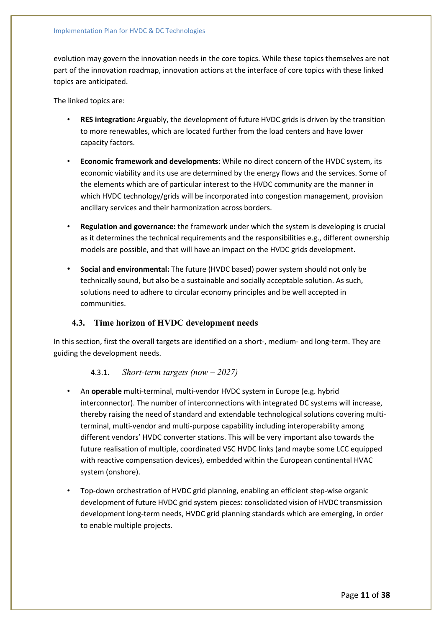evolution may govern the innovation needs in the core topics. While these topics themselves are not part of the innovation roadmap, innovation actions at the interface of core topics with these linked topics are anticipated.

The linked topics are:

- **RES integration:** Arguably, the development of future HVDC grids is driven by the transition to more renewables, which are located further from the load centers and have lower capacity factors.
- **Economic framework and developments**: While no direct concern of the HVDC system, its economic viability and its use are determined by the energy flows and the services. Some of the elements which are of particular interest to the HVDC community are the manner in which HVDC technology/grids will be incorporated into congestion management, provision ancillary services and their harmonization across borders.
- **Regulation and governance:** the framework under which the system is developing is crucial as it determines the technical requirements and the responsibilities e.g., different ownership models are possible, and that will have an impact on the HVDC grids development.
- **Social and environmental:** The future (HVDC based) power system should not only be technically sound, but also be a sustainable and socially acceptable solution. As such, solutions need to adhere to circular economy principles and be well accepted in communities.

## **4.3. Time horizon of HVDC development needs**

In this section, first the overall targets are identified on a short-, medium- and long-term. They are guiding the development needs.

## 4.3.1. *Short-term targets (now – 2027)*

- An **operable** multi-terminal, multi-vendor HVDC system in Europe (e.g. hybrid interconnector). The number of interconnections with integrated DC systems will increase, thereby raising the need of standard and extendable technological solutions covering multiterminal, multi-vendor and multi-purpose capability including interoperability among different vendors' HVDC converter stations. This will be very important also towards the future realisation of multiple, coordinated VSC HVDC links (and maybe some LCC equipped with reactive compensation devices), embedded within the European continental HVAC system (onshore).
- Top-down orchestration of HVDC grid planning, enabling an efficient step-wise organic development of future HVDC grid system pieces: consolidated vision of HVDC transmission development long-term needs, HVDC grid planning standards which are emerging, in order to enable multiple projects.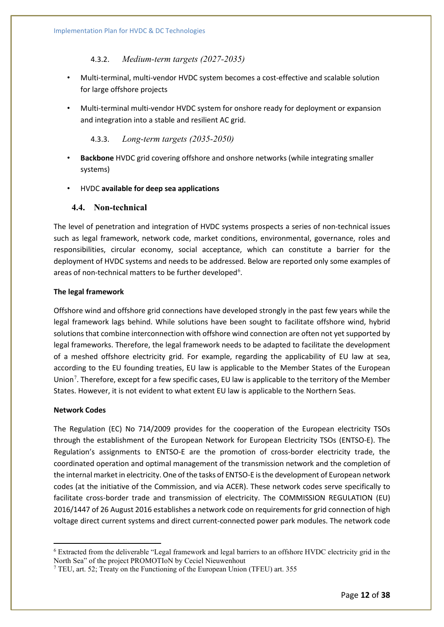## 4.3.2. *Medium-term targets (2027-2035)*

- Multi-terminal, multi-vendor HVDC system becomes a cost-effective and scalable solution for large offshore projects
- Multi-terminal multi-vendor HVDC system for onshore ready for deployment or expansion and integration into a stable and resilient AC grid.

### 4.3.3. *Long-term targets (2035-2050)*

- **Backbone** HVDC grid covering offshore and onshore networks (while integrating smaller systems)
- HVDC **available for deep sea applications**

## **4.4. Non-technical**

The level of penetration and integration of HVDC systems prospects a series of non-technical issues such as legal framework, network code, market conditions, environmental, governance, roles and responsibilities, circular economy, social acceptance, which can constitute a barrier for the deployment of HVDC systems and needs to be addressed. Below are reported only some examples of areas of non-technical matters to be further developed<sup>[6](#page-11-0)</sup>.

### **The legal framework**

Offshore wind and offshore grid connections have developed strongly in the past few years while the legal framework lags behind. While solutions have been sought to facilitate offshore wind, hybrid solutions that combine interconnection with offshore wind connection are often not yet supported by legal frameworks. Therefore, the legal framework needs to be adapted to facilitate the development of a meshed offshore electricity grid. For example, regarding the applicability of EU law at sea, according to the EU founding treaties, EU law is applicable to the Member States of the European Union<sup>[7](#page-11-1)</sup>. Therefore, except for a few specific cases, EU law is applicable to the territory of the Member States. However, it is not evident to what extent EU law is applicable to the Northern Seas.

### **Network Codes**

The Regulation (EC) No 714/2009 provides for the cooperation of the European electricity TSOs through the establishment of the European Network for European Electricity TSOs (ENTSO-E). The Regulation's assignments to ENTSO-E are the promotion of cross-border electricity trade, the coordinated operation and optimal management of the transmission network and the completion of the internal market in electricity. One of the tasks of ENTSO-E is the development of European network codes (at the initiative of the Commission, and via ACER). These network codes serve specifically to facilitate cross-border trade and transmission of electricity. The COMMISSION REGULATION (EU) 2016/1447 of 26 August 2016 establishes a network code on requirements for grid connection of high voltage direct current systems and direct current-connected power park modules. The network code

<span id="page-11-0"></span><sup>6</sup> Extracted from the deliverable "Legal framework and legal barriers to an offshore HVDC electricity grid in the North Sea" of the project PROMOTIoN by Ceciel Nieuwenhout

<span id="page-11-1"></span><sup>7</sup> TEU, art. 52; Treaty on the Functioning of the European Union (TFEU) art. 355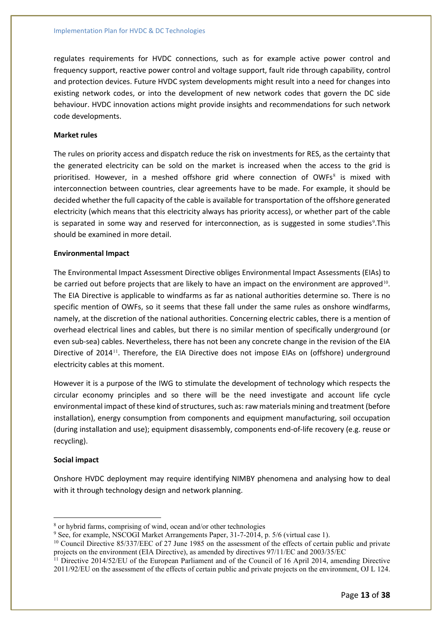regulates requirements for HVDC connections, such as for example active power control and frequency support, reactive power control and voltage support, fault ride through capability, control and protection devices. Future HVDC system developments might result into a need for changes into existing network codes, or into the development of new network codes that govern the DC side behaviour. HVDC innovation actions might provide insights and recommendations for such network code developments.

### **Market rules**

The rules on priority access and dispatch reduce the risk on investments for RES, as the certainty that the generated electricity can be sold on the market is increased when the access to the grid is prioritised. However, in a meshed offshore grid where connection of OWFs $^8$  $^8$  is mixed with interconnection between countries, clear agreements have to be made. For example, it should be decided whether the full capacity of the cable is available for transportation of the offshore generated electricity (which means that this electricity always has priority access), or whether part of the cable is separated in some way and reserved for interconnection, as is suggested in some studies<sup>[9](#page-12-1)</sup>. This should be examined in more detail.

### **Environmental Impact**

The Environmental Impact Assessment Directive obliges Environmental Impact Assessments (EIAs) to be carried out before projects that are likely to have an impact on the environment are approved<sup>[10](#page-12-2)</sup>. The EIA Directive is applicable to windfarms as far as national authorities determine so. There is no specific mention of OWFs, so it seems that these fall under the same rules as onshore windfarms, namely, at the discretion of the national authorities. Concerning electric cables, there is a mention of overhead electrical lines and cables, but there is no similar mention of specifically underground (or even sub-sea) cables. Nevertheless, there has not been any concrete change in the revision of the EIA Directive of 2014<sup>[11](#page-12-3)</sup>. Therefore, the EIA Directive does not impose EIAs on (offshore) underground electricity cables at this moment.

However it is a purpose of the IWG to stimulate the development of technology which respects the circular economy principles and so there will be the need investigate and account life cycle environmental impact of these kind of structures, such as: raw materials mining and treatment (before installation), energy consumption from components and equipment manufacturing, soil occupation (during installation and use); equipment disassembly, components end-of-life recovery (e.g. reuse or recycling).

### **Social impact**

Onshore HVDC deployment may require identifying NIMBY phenomena and analysing how to deal with it through technology design and network planning.

<span id="page-12-0"></span><sup>8</sup> or hybrid farms, comprising of wind, ocean and/or other technologies

<span id="page-12-1"></span><sup>&</sup>lt;sup>9</sup> See, for example, NSCOGI Market Arrangements Paper, 31-7-2014, p. 5/6 (virtual case 1).

<span id="page-12-2"></span><sup>&</sup>lt;sup>10</sup> Council Directive 85/337/EEC of 27 June 1985 on the assessment of the effects of certain public and private projects on the environment (EIA Directive), as amended by directives 97/11/EC and 2003/35/EC

<span id="page-12-3"></span><sup>&</sup>lt;sup>11</sup> Directive 2014/52/EU of the European Parliament and of the Council of 16 April 2014, amending Directive 2011/92/EU on the assessment of the effects of certain public and private projects on the environment, OJ L 124.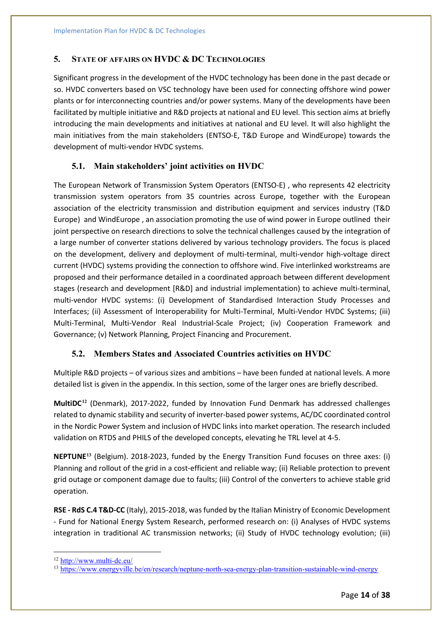## **5. STATE OF AFFAIRS ON HVDC & DC TECHNOLOGIES**

Significant progress in the development of the HVDC technology has been done in the past decade or so. HVDC converters based on VSC technology have been used for connecting offshore wind power plants or for interconnecting countries and/or power systems. Many of the developments have been facilitated by multiple initiative and R&D projects at national and EU level. This section aims at briefly introducing the main developments and initiatives at national and EU level. It will also highlight the main initiatives from the main stakeholders (ENTSO-E, T&D Europe and WindEurope) towards the development of multi-vendor HVDC systems.

## **5.1. Main stakeholders' joint activities on HVDC**

The European Network of Transmission System Operators (ENTSO-E) , who represents 42 electricity transmission system operators from 35 countries across Europe, together with the European association of the electricity transmission and distribution equipment and services industry (T&D Europe) and WindEurope , an association promoting the use of wind power in Europe outlined their joint perspective on research directions to solve the technical challenges caused by the integration of a large number of converter stations delivered by various technology providers. The focus is placed on the development, delivery and deployment of multi-terminal, multi-vendor high-voltage direct current (HVDC) systems providing the connection to offshore wind. Five interlinked workstreams are proposed and their performance detailed in a coordinated approach between different development stages (research and development [R&D] and industrial implementation) to achieve multi-terminal, multi-vendor HVDC systems: (i) Development of Standardised Interaction Study Processes and Interfaces; (ii) Assessment of Interoperability for Multi-Terminal, Multi-Vendor HVDC Systems; (iii) Multi-Terminal, Multi-Vendor Real Industrial-Scale Project; (iv) Cooperation Framework and Governance; (v) Network Planning, Project Financing and Procurement.

## **5.2. Members States and Associated Countries activities on HVDC**

Multiple R&D projects – of various sizes and ambitions – have been funded at national levels. A more detailed list is given in the appendix. In this section, some of the larger ones are briefly described.

**MultiDC[12](#page-13-0)** (Denmark), 2017-2022, funded by Innovation Fund Denmark has addressed challenges related to dynamic stability and security of inverter-based power systems, AC/DC coordinated control in the Nordic Power System and inclusion of HVDC links into market operation. The research included validation on RTDS and PHILS of the developed concepts, elevating he TRL level at 4-5.

**NEPTUNE[13](#page-13-1)** (Belgium). 2018-2023, funded by the Energy Transition Fund focuses on three axes: (i) Planning and rollout of the grid in a cost-efficient and reliable way; (ii) Reliable protection to prevent grid outage or component damage due to faults; (iii) Control of the converters to achieve stable grid operation.

**RSE - RdS C.4 T&D-CC** (Italy), 2015-2018, was funded by the Italian Ministry of Economic Development - Fund for National Energy System Research, performed research on: (i) Analyses of HVDC systems integration in traditional AC transmission networks; (ii) Study of HVDC technology evolution; (iii)

<span id="page-13-0"></span><sup>12</sup> <http://www.multi-dc.eu/>

<span id="page-13-1"></span><sup>13</sup> <https://www.energyville.be/en/research/neptune-north-sea-energy-plan-transition-sustainable-wind-energy>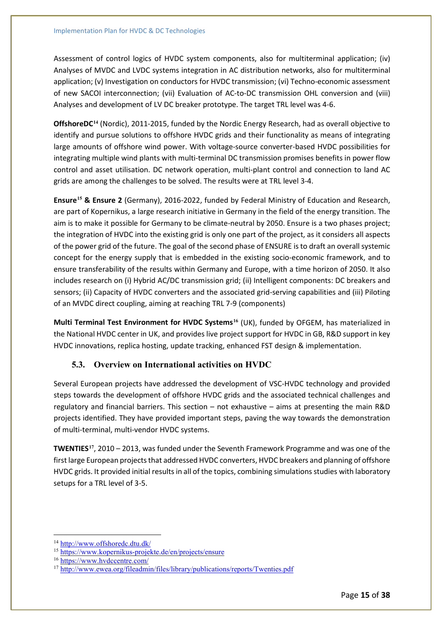Assessment of control logics of HVDC system components, also for multiterminal application; (iv) Analyses of MVDC and LVDC systems integration in AC distribution networks, also for multiterminal application; (v) Investigation on conductors for HVDC transmission; (vi) Techno-economic assessment of new SACOI interconnection; (vii) Evaluation of AC-to-DC transmission OHL conversion and (viii) Analyses and development of LV DC breaker prototype. The target TRL level was 4-6.

**OffshoreDC[14](#page-14-0)** (Nordic), 2011-2015, funded by the Nordic Energy Research, had as overall objective to identify and pursue solutions to offshore HVDC grids and their functionality as means of integrating large amounts of offshore wind power. With voltage-source converter-based HVDC possibilities for integrating multiple wind plants with multi-terminal DC transmission promises benefits in power flow control and asset utilisation. DC network operation, multi-plant control and connection to land AC grids are among the challenges to be solved. The results were at TRL level 3-4.

**Ensure[15](#page-14-1) & Ensure 2** (Germany), 2016-2022, funded by Federal Ministry of Education and Research, are part of Kopernikus, a large research initiative in Germany in the field of the energy transition. The aim is to make it possible for Germany to be climate-neutral by 2050. Ensure is a two phases project; the integration of HVDC into the existing grid is only one part of the project, as it considers all aspects of the power grid of the future. The goal of the second phase of ENSURE is to draft an overall systemic concept for the energy supply that is embedded in the existing socio-economic framework, and to ensure transferability of the results within Germany and Europe, with a time horizon of 2050. It also includes research on (i) Hybrid AC/DC transmission grid; (ii) Intelligent components: DC breakers and sensors; (ii) Capacity of HVDC converters and the associated grid-serving capabilities and (iii) Piloting of an MVDC direct coupling, aiming at reaching TRL 7-9 (components)

**Multi Terminal Test Environment for HVDC Systems[16](#page-14-2)** (UK), funded by OFGEM, has materialized in the National HVDC center in UK, and provides live project support for HVDC in GB, R&D support in key HVDC innovations, replica hosting, update tracking, enhanced FST design & implementation.

## **5.3. Overview on International activities on HVDC**

Several European projects have addressed the development of VSC-HVDC technology and provided steps towards the development of offshore HVDC grids and the associated technical challenges and regulatory and financial barriers. This section – not exhaustive – aims at presenting the main R&D projects identified. They have provided important steps, paving the way towards the demonstration of multi-terminal, multi-vendor HVDC systems.

**TWENTIES[17](#page-14-3)**, 2010 – 2013, was funded under the Seventh Framework Programme and was one of the first large European projects that addressed HVDC converters, HVDC breakers and planning of offshore HVDC grids. It provided initial results in all of the topics, combining simulations studies with laboratory setups for a TRL level of 3-5.

<span id="page-14-0"></span><sup>14</sup> <http://www.offshoredc.dtu.dk/>

<span id="page-14-1"></span><sup>15</sup> <https://www.kopernikus-projekte.de/en/projects/ensure>

<span id="page-14-2"></span><sup>16</sup> <https://www.hvdccentre.com/>

<span id="page-14-3"></span><sup>&</sup>lt;sup>17</sup> <http://www.ewea.org/fileadmin/files/library/publications/reports/Twenties.pdf>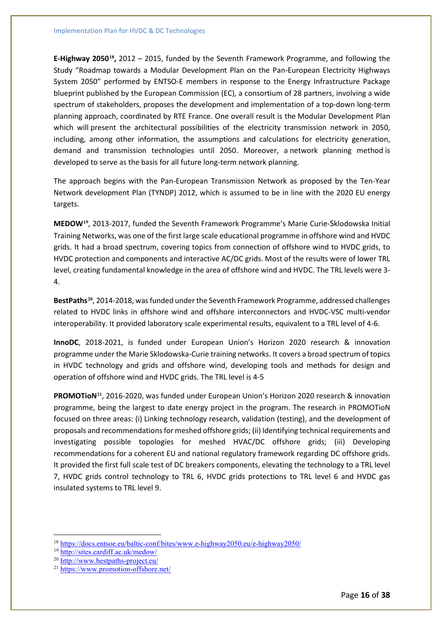**E-Highway 2050[18](#page-15-0),** 2012 – 2015, funded by the Seventh Framework Programme, and following the Study "Roadmap towards a Modular Development Plan on the Pan-European Electricity Highways System 2050" performed by ENTSO-E members in response to the Energy Infrastructure Package blueprint published by the European Commission (EC), a consortium of 28 partners, involving a wide spectrum of stakeholders, proposes the development and implementation of a top-down long-term planning approach, coordinated by RTE France. One overall result is the Modular Development Plan which will present the architectural possibilities of the electricity transmission network in 2050, including, among other information, the assumptions and calculations for electricity generation, demand and transmission technologies until 2050. Moreover, a network planning method is developed to serve as the basis for all future long-term network planning.

The approach begins with the Pan-European Transmission Network as proposed by the Ten-Year Network development Plan (TYNDP) 2012, which is assumed to be in line with the 2020 EU energy targets.

**MEDOW[19](#page-15-1)**, 2013-2017, funded the Seventh Framework Programme's Marie Curie-Sklodowska Initial Training Networks, was one of the first large scale educational programme in offshore wind and HVDC grids. It had a broad spectrum, covering topics from connection of offshore wind to HVDC grids, to HVDC protection and components and interactive AC/DC grids. Most of the results were of lower TRL level, creating fundamental knowledge in the area of offshore wind and HVDC. The TRL levels were 3- 4.

**BestPaths[20](#page-15-2)**, 2014-2018, was funded under the Seventh Framework Programme, addressed challenges related to HVDC links in offshore wind and offshore interconnectors and HVDC-VSC multi-vendor interoperability. It provided laboratory scale experimental results, equivalent to a TRL level of 4-6.

**InnoDC**, 2018-2021, is funded under European Union's Horizon 2020 research & innovation programme under the Marie Sklodowska-Curie training networks. It covers a broad spectrum of topics in HVDC technology and grids and offshore wind, developing tools and methods for design and operation of offshore wind and HVDC grids. The TRL level is 4-5

**PROMOTioN[21](#page-15-3)**, 2016-2020, was funded under European Union's Horizon 2020 research & innovation programme, being the largest to date energy project in the program. The research in PROMOTioN focused on three areas: (i) Linking technology research, validation (testing), and the development of proposals and recommendations for meshed offshore grids; (ii) Identifying technical requirements and investigating possible topologies for meshed HVAC/DC offshore grids; (iii) Developing recommendations for a coherent EU and national regulatory framework regarding DC offshore grids. It provided the first full scale test of DC breakers components, elevating the technology to a TRL level 7, HVDC grids control technology to TRL 6, HVDC grids protections to TRL level 6 and HVDC gas insulated systems to TRL level 9.

<span id="page-15-0"></span><sup>18</sup> <https://docs.entsoe.eu/baltic-conf/bites/www.e-highway2050.eu/e-highway2050/>

<span id="page-15-1"></span><sup>19</sup> <http://sites.cardiff.ac.uk/medow/>

<span id="page-15-2"></span><sup>20</sup> <http://www.bestpaths-project.eu/>

<span id="page-15-3"></span><sup>21</sup> <https://www.promotion-offshore.net/>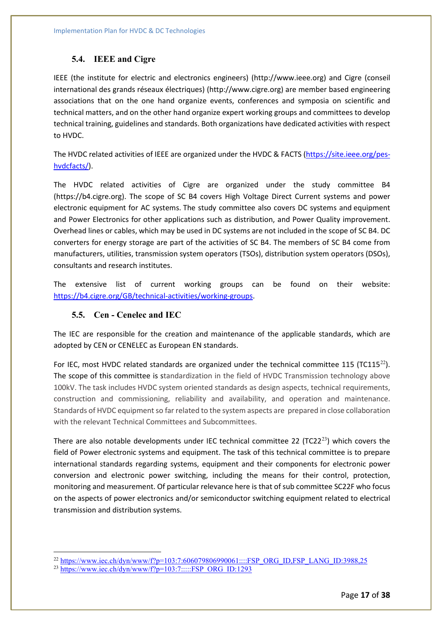## **5.4. IEEE and Cigre**

IEEE (the institute for electric and electronics engineers) (http://www.ieee.org) and Cigre (conseil international des grands réseaux électriques) (http://www.cigre.org) are member based engineering associations that on the one hand organize events, conferences and symposia on scientific and technical matters, and on the other hand organize expert working groups and committees to develop technical training, guidelines and standards. Both organizations have dedicated activities with respect to HVDC.

The HVDC related activities of IEEE are organized under the HVDC & FACTS [\(https://site.ieee.org/pes](https://site.ieee.org/pes-hvdcfacts/)[hvdcfacts/\)](https://site.ieee.org/pes-hvdcfacts/).

The HVDC related activities of Cigre are organized under the study committee B4 (https://b4.cigre.org). The scope of SC B4 covers High Voltage Direct Current systems and power electronic equipment for AC systems. The study committee also covers DC systems and equipment and Power Electronics for other applications such as distribution, and Power Quality improvement. Overhead lines or cables, which may be used in DC systems are not included in the scope of SC B4. DC converters for energy storage are part of the activities of SC B4. The members of SC B4 come from manufacturers, utilities, transmission system operators (TSOs), distribution system operators (DSOs), consultants and research institutes.

The extensive list of current working groups can be found on their website: [https://b4.cigre.org/GB/technical-activities/working-groups.](https://b4.cigre.org/GB/technical-activities/working-groups)

## **5.5. Cen - Cenelec and IEC**

The IEC are responsible for the creation and maintenance of the applicable standards, which are adopted by CEN or CENELEC as European EN standards.

For IEC, most HVDC related standards are organized under the technical committee 115 (TC115<sup>[22](#page-16-0)</sup>). The scope of this committee is standardization in the field of HVDC Transmission technology above 100kV. The task includes HVDC system oriented standards as design aspects, technical requirements, construction and commissioning, reliability and availability, and operation and maintenance. Standards of HVDC equipment so far related to the system aspects are prepared in close collaboration with the relevant Technical Committees and Subcommittees.

There are also notable developments under IEC technical committee 22 (TC22<sup>[23](#page-16-1)</sup>) which covers the field of Power electronic systems and equipment. The task of this technical committee is to prepare international standards regarding systems, equipment and their components for electronic power conversion and electronic power switching, including the means for their control, protection, monitoring and measurement. Of particular relevance here is that of sub committee SC22F who focus on the aspects of power electronics and/or semiconductor switching equipment related to electrical transmission and distribution systems.

<span id="page-16-0"></span><sup>22</sup> [https://www.iec.ch/dyn/www/f?p=103:7:606079806990061::::FSP\\_ORG\\_ID,FSP\\_LANG\\_ID:3988,25](https://www.iec.ch/dyn/www/f?p=103:7:606079806990061::::FSP_ORG_ID,FSP_LANG_ID:3988,25)

<span id="page-16-1"></span> $^{23}$  [https://www.iec.ch/dyn/www/f?p=103:7:::::FSP\\_ORG\\_ID:1293](https://www.iec.ch/dyn/www/f?p=103:7:::::FSP_ORG_ID:1293)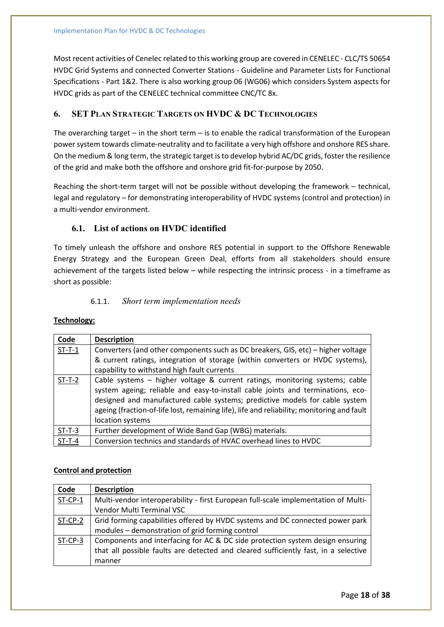Most recent activities of Cenelec related to this working group are covered in CENELEC - CLC/TS 50654 HVDC Grid Systems and connected Converter Stations - Guideline and Parameter Lists for Functional Specifications - Part 1&2. There is also working group 06 (WG06) which considers System aspects for HVDC grids as part of the CENELEC technical committee CNC/TC 8x.

## **6. SET PLAN STRATEGIC TARGETS ON HVDC & DC TECHNOLOGIES**

The overarching target – in the short term – is to enable the radical transformation of the European power system towards climate-neutrality and to facilitate a very high offshore and onshore RES share. On the medium & long term, the strategic target is to develop hybrid AC/DC grids, foster the resilience of the grid and make both the offshore and onshore grid fit-for-purpose by 2050.

Reaching the short-term target will not be possible without developing the framework – technical, legal and regulatory – for demonstrating interoperability of HVDC systems (control and protection) in a multi-vendor environment.

## **6.1. List of actions on HVDC identified**

To timely unleash the offshore and onshore RES potential in support to the Offshore Renewable Energy Strategy and the European Green Deal, efforts from all stakeholders should ensure achievement of the targets listed below – while respecting the intrinsic process - in a timeframe as short as possible:

## 6.1.1. *Short term implementation needs*

### **Technology:**

| Code     | <b>Description</b>                                                                                                                                                                                                                                                                                                                                              |  |  |  |  |  |  |
|----------|-----------------------------------------------------------------------------------------------------------------------------------------------------------------------------------------------------------------------------------------------------------------------------------------------------------------------------------------------------------------|--|--|--|--|--|--|
| $ST-T-1$ | Converters (and other components such as DC breakers, GIS, etc) – higher voltage                                                                                                                                                                                                                                                                                |  |  |  |  |  |  |
|          | & current ratings, integration of storage (within converters or HVDC systems),                                                                                                                                                                                                                                                                                  |  |  |  |  |  |  |
|          | capability to withstand high fault currents                                                                                                                                                                                                                                                                                                                     |  |  |  |  |  |  |
| $ST-T-2$ | Cable systems - higher voltage & current ratings, monitoring systems; cable<br>system ageing; reliable and easy-to-install cable joints and terminations, eco-<br>designed and manufactured cable systems; predictive models for cable system<br>ageing (fraction-of-life lost, remaining life), life and reliability; monitoring and fault<br>location systems |  |  |  |  |  |  |
| $ST-T-3$ | Further development of Wide Band Gap (WBG) materials.                                                                                                                                                                                                                                                                                                           |  |  |  |  |  |  |
| $ST-T-4$ | Conversion technics and standards of HVAC overhead lines to HVDC                                                                                                                                                                                                                                                                                                |  |  |  |  |  |  |

### **Control and protection**

| Code      | <b>Description</b>                                                                  |  |  |  |  |  |  |
|-----------|-------------------------------------------------------------------------------------|--|--|--|--|--|--|
| $ST-CP-1$ | Multi-vendor interoperability - first European full-scale implementation of Multi-  |  |  |  |  |  |  |
|           | Vendor Multi Terminal VSC                                                           |  |  |  |  |  |  |
| ST-CP-2   | Grid forming capabilities offered by HVDC systems and DC connected power park       |  |  |  |  |  |  |
|           | modules - demonstration of grid forming control                                     |  |  |  |  |  |  |
| ST-CP-3   | Components and interfacing for AC & DC side protection system design ensuring       |  |  |  |  |  |  |
|           | that all possible faults are detected and cleared sufficiently fast, in a selective |  |  |  |  |  |  |
|           | manner                                                                              |  |  |  |  |  |  |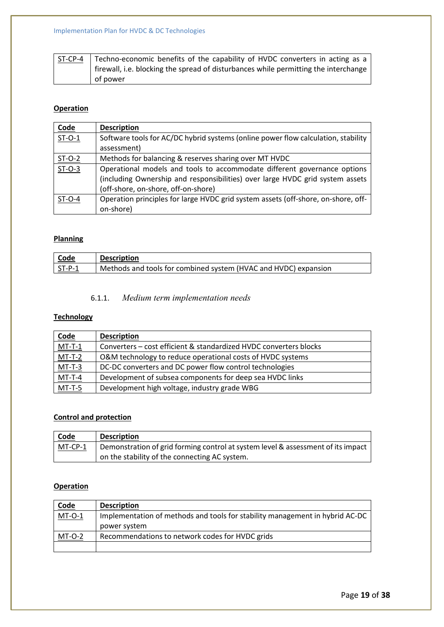| l ST-CP-4 | Techno-economic benefits of the capability of HVDC converters in acting as a        |
|-----------|-------------------------------------------------------------------------------------|
|           | firewall, i.e. blocking the spread of disturbances while permitting the interchange |
|           | of power                                                                            |

## **Operation**

| Code     | <b>Description</b>                                                                |  |  |  |  |  |
|----------|-----------------------------------------------------------------------------------|--|--|--|--|--|
| $ST-O-1$ | Software tools for AC/DC hybrid systems (online power flow calculation, stability |  |  |  |  |  |
|          | assessment)                                                                       |  |  |  |  |  |
| $ST-O-2$ | Methods for balancing & reserves sharing over MT HVDC                             |  |  |  |  |  |
| $ST-O-3$ | Operational models and tools to accommodate different governance options          |  |  |  |  |  |
|          | (including Ownership and responsibilities) over large HVDC grid system assets     |  |  |  |  |  |
|          | (off-shore, on-shore, off-on-shore)                                               |  |  |  |  |  |
| $ST-O-4$ | Operation principles for large HVDC grid system assets (off-shore, on-shore, off- |  |  |  |  |  |
|          | on-shore)                                                                         |  |  |  |  |  |

## **Planning**

| Code           | <b>Description</b>                                              |
|----------------|-----------------------------------------------------------------|
| $\vert$ ST-P-1 | Methods and tools for combined system (HVAC and HVDC) expansion |

## 6.1.1. *Medium term implementation needs*

## **Technology**

| <b>Code</b>   | <b>Description</b>                                                |
|---------------|-------------------------------------------------------------------|
| $MT-T-1$      | Converters – cost efficient & standardized HVDC converters blocks |
| $MT-T-2$      | O&M technology to reduce operational costs of HVDC systems        |
| $MT-T-3$      | DC-DC converters and DC power flow control technologies           |
| $MT-T-4$      | Development of subsea components for deep sea HVDC links          |
| <u>MT-T-5</u> | Development high voltage, industry grade WBG                      |

## **Control and protection**

| $\cosh$        | <b>Description</b>                                                               |
|----------------|----------------------------------------------------------------------------------|
| <b>MT-CP-1</b> | Demonstration of grid forming control at system level & assessment of its impact |
|                | on the stability of the connecting AC system.                                    |

## **Operation**

| <b>Code</b> | <b>Description</b>                                                           |
|-------------|------------------------------------------------------------------------------|
| $MT-O-1$    | Implementation of methods and tools for stability management in hybrid AC-DC |
|             | power system                                                                 |
| $MT-O-2$    | Recommendations to network codes for HVDC grids                              |
|             |                                                                              |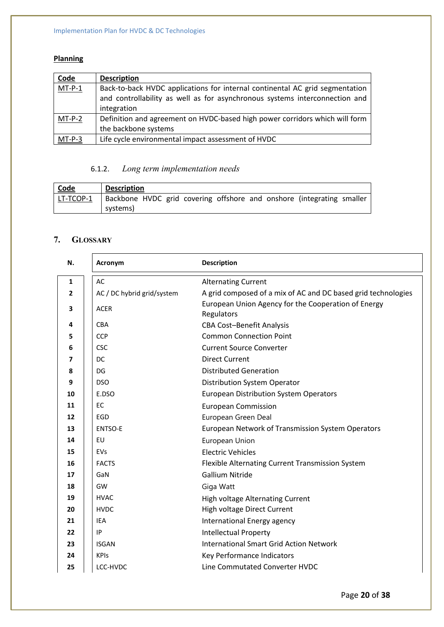## **Planning**

| Code     | <b>Description</b>                                                           |  |  |  |  |  |
|----------|------------------------------------------------------------------------------|--|--|--|--|--|
| $MT-P-1$ | Back-to-back HVDC applications for internal continental AC grid segmentation |  |  |  |  |  |
|          | and controllability as well as for asynchronous systems interconnection and  |  |  |  |  |  |
|          | integration                                                                  |  |  |  |  |  |
| $MT-P-2$ | Definition and agreement on HVDC-based high power corridors which will form  |  |  |  |  |  |
|          | the backbone systems                                                         |  |  |  |  |  |
| $MT-P-3$ | Life cycle environmental impact assessment of HVDC                           |  |  |  |  |  |

## 6.1.2. *Long term implementation needs*

| <b>Code</b> | <b>Description</b> |  |  |  |  |  |  |                                                                       |  |
|-------------|--------------------|--|--|--|--|--|--|-----------------------------------------------------------------------|--|
| LT-TCOP-1   |                    |  |  |  |  |  |  | Backbone HVDC grid covering offshore and onshore (integrating smaller |  |
|             | systems)           |  |  |  |  |  |  |                                                                       |  |

## **7. GLOSSARY**

| N.           | Acronym                    | <b>Description</b>                                                |
|--------------|----------------------------|-------------------------------------------------------------------|
| $\mathbf{1}$ | AC                         | <b>Alternating Current</b>                                        |
| $\mathbf{2}$ | AC / DC hybrid grid/system | A grid composed of a mix of AC and DC based grid technologies     |
| 3            | <b>ACER</b>                | European Union Agency for the Cooperation of Energy<br>Regulators |
| 4            | <b>CBA</b>                 | <b>CBA Cost-Benefit Analysis</b>                                  |
| 5            | <b>CCP</b>                 | <b>Common Connection Point</b>                                    |
| 6            | <b>CSC</b>                 | <b>Current Source Converter</b>                                   |
| 7            | DC                         | <b>Direct Current</b>                                             |
| 8            | DG                         | <b>Distributed Generation</b>                                     |
| 9            | <b>DSO</b>                 | Distribution System Operator                                      |
| 10           | E.DSO                      | <b>European Distribution System Operators</b>                     |
| 11           | EC                         | <b>European Commission</b>                                        |
| 12           | EGD                        | European Green Deal                                               |
| 13           | <b>ENTSO-E</b>             | European Network of Transmission System Operators                 |
| 14           | EU                         | European Union                                                    |
| 15           | EVs                        | <b>Electric Vehicles</b>                                          |
| 16           | <b>FACTS</b>               | Flexible Alternating Current Transmission System                  |
| 17           | GaN                        | <b>Gallium Nitride</b>                                            |
| 18           | GW                         | Giga Watt                                                         |
| 19           | <b>HVAC</b>                | <b>High voltage Alternating Current</b>                           |
| 20           | <b>HVDC</b>                | High voltage Direct Current                                       |
| 21           | <b>IEA</b>                 | International Energy agency                                       |
| 22           | IP                         | <b>Intellectual Property</b>                                      |
| 23           | <b>ISGAN</b>               | <b>International Smart Grid Action Network</b>                    |
| 24           | <b>KPIs</b>                | Key Performance Indicators                                        |
| 25           | LCC-HVDC                   | Line Commutated Converter HVDC                                    |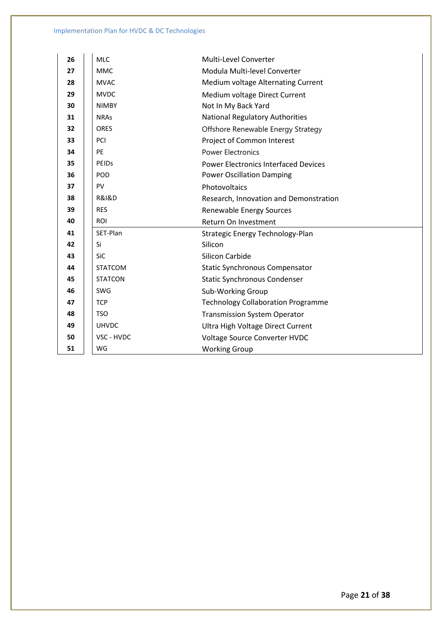| 26 | <b>MLC</b>           | Multi-Level Converter                       |
|----|----------------------|---------------------------------------------|
| 27 | <b>MMC</b>           | Modula Multi-level Converter                |
| 28 | <b>MVAC</b>          | Medium voltage Alternating Current          |
| 29 | <b>MVDC</b>          | Medium voltage Direct Current               |
| 30 | <b>NIMBY</b>         | Not In My Back Yard                         |
| 31 | <b>NRAs</b>          | <b>National Regulatory Authorities</b>      |
| 32 | <b>ORES</b>          | Offshore Renewable Energy Strategy          |
| 33 | PCI                  | Project of Common Interest                  |
| 34 | PE                   | <b>Power Electronics</b>                    |
| 35 | PEIDS                | <b>Power Electronics Interfaced Devices</b> |
| 36 | POD                  | <b>Power Oscillation Damping</b>            |
| 37 | PV                   | Photovoltaics                               |
| 38 | <b>R&amp;I&amp;D</b> | Research, Innovation and Demonstration      |
| 39 | <b>RES</b>           | Renewable Energy Sources                    |
| 40 | ROI                  | Return On Investment                        |
| 41 | SET-Plan             | Strategic Energy Technology-Plan            |
| 42 | Si                   | Silicon                                     |
| 43 | SiC                  | Silicon Carbide                             |
| 44 | <b>STATCOM</b>       | <b>Static Synchronous Compensator</b>       |
| 45 | <b>STATCON</b>       | <b>Static Synchronous Condenser</b>         |
| 46 | SWG                  | Sub-Working Group                           |
| 47 | <b>TCP</b>           | <b>Technology Collaboration Programme</b>   |
| 48 | <b>TSO</b>           | <b>Transmission System Operator</b>         |
| 49 | <b>UHVDC</b>         | Ultra High Voltage Direct Current           |
| 50 | VSC - HVDC           | Voltage Source Converter HVDC               |
| 51 | WG                   | <b>Working Group</b>                        |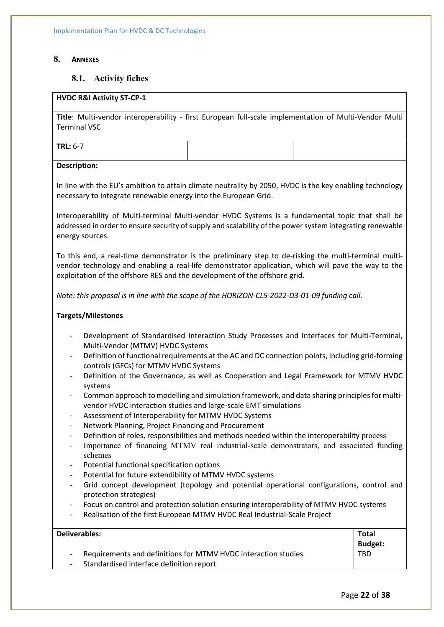### **8. ANNEXES**

## **8.1. Activity fiches**

## **HVDC R&I Activity ST-CP-1**

**Title**: Multi-vendor interoperability - first European full-scale implementation of Multi-Vendor Multi Terminal VSC

**TRL:** 6-7

### **Description:**

In line with the EU's ambition to attain climate neutrality by 2050, HVDC is the key enabling technology necessary to integrate renewable energy into the European Grid.

Interoperability of Multi-terminal Multi-vendor HVDC Systems is a fundamental topic that shall be addressed in order to ensure security of supply and scalability of the power system integrating renewable energy sources.

To this end, a real-time demonstrator is the preliminary step to de-risking the multi-terminal multivendor technology and enabling a real-life demonstrator application, which will pave the way to the exploitation of the offshore RES and the development of the offshore grid.

*Note: this proposal is in line with the scope of the HORIZON-CL5-2022-D3-01-09 funding call.*

### **Targets/Milestones**

- Development of Standardised Interaction Study Processes and Interfaces for Multi-Terminal, Multi-Vendor (MTMV) HVDC Systems
- Definition of functional requirements at the AC and DC connection points, including grid-forming controls (GFCs) for MTMV HVDC Systems
- Definition of the Governance, as well as Cooperation and Legal Framework for MTMV HVDC systems
- Common approach to modelling and simulation framework, and data sharing principles for multivendor HVDC interaction studies and large-scale EMT simulations
- Assessment of Interoperability for MTMV HVDC Systems
- Network Planning, Project Financing and Procurement
- Definition of roles, responsibilities and methods needed within the interoperability process
- Importance of financing MTMV real industrial-scale demonstrators, and associated funding schemes
- Potential functional specification options
- Potential for future extendibility of MTMV HVDC systems
- Grid concept development (topology and potential operational configurations, control and protection strategies)
- Focus on control and protection solution ensuring interoperability of MTMV HVDC systems
- Realisation of the first European MTMV HVDC Real Industrial-Scale Project

| Deliverables:                                                  | <b>Total</b>   |
|----------------------------------------------------------------|----------------|
|                                                                | <b>Budget:</b> |
| Requirements and definitions for MTMV HVDC interaction studies | TBD            |
| Standardised interface definition report                       |                |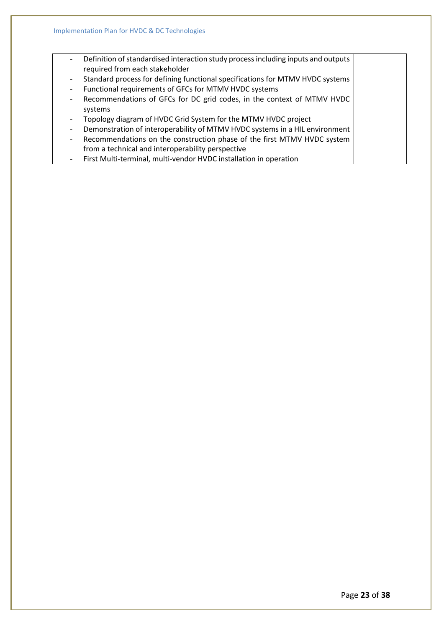- Definition of standardised interaction study process including inputs and outputs required from each stakeholder
- Standard process for defining functional specifications for MTMV HVDC systems
- Functional requirements of GFCs for MTMV HVDC systems
- Recommendations of GFCs for DC grid codes, in the context of MTMV HVDC systems
- Topology diagram of HVDC Grid System for the MTMV HVDC project
- Demonstration of interoperability of MTMV HVDC systems in a HIL environment
- Recommendations on the construction phase of the first MTMV HVDC system from a technical and interoperability perspective
- First Multi-terminal, multi-vendor HVDC installation in operation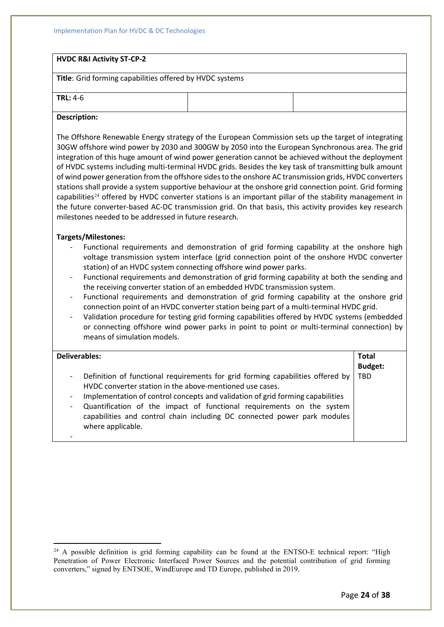### **HVDC R&I Activity ST-CP-2**

**Title**: Grid forming capabilities offered by HVDC systems

**TRL:** 4-6

#### **Description:**

The Offshore Renewable Energy strategy of the European Commission sets up the target of integrating 30GW offshore wind power by 2030 and 300GW by 2050 into the European Synchronous area. The grid integration of this huge amount of wind power generation cannot be achieved without the deployment of HVDC systems including multi-terminal HVDC grids. Besides the key task of transmitting bulk amount of wind power generation from the offshore sides to the onshore AC transmission grids, HVDC converters stations shall provide a system supportive behaviour at the onshore grid connection point. Grid forming capabilities<sup>[24](#page-23-0)</sup> offered by HVDC converter stations is an important pillar of the stability management in the future converter-based AC-DC transmission grid. On that basis, this activity provides key research milestones needed to be addressed in future research*.*

### **Targets/Milestones:**

- Functional requirements and demonstration of grid forming capability at the onshore high voltage transmission system interface (grid connection point of the onshore HVDC converter station) of an HVDC system connecting offshore wind power parks.
- Functional requirements and demonstration of grid forming capability at both the sending and the receiving converter station of an embedded HVDC transmission system.
- Functional requirements and demonstration of grid forming capability at the onshore grid connection point of an HVDC converter station being part of a multi-terminal HVDC grid.
- Validation procedure for testing grid forming capabilities offered by HVDC systems (embedded or connecting offshore wind power parks in point to point or multi-terminal connection) by means of simulation models.

| <b>Deliverables:</b> |                                                                                                                                                                                                                                                                                                                                                                                                        | <b>Total</b>   |
|----------------------|--------------------------------------------------------------------------------------------------------------------------------------------------------------------------------------------------------------------------------------------------------------------------------------------------------------------------------------------------------------------------------------------------------|----------------|
|                      |                                                                                                                                                                                                                                                                                                                                                                                                        | <b>Budget:</b> |
|                      | Definition of functional requirements for grid forming capabilities offered by<br>HVDC converter station in the above-mentioned use cases.<br>Implementation of control concepts and validation of grid forming capabilities<br>Quantification of the impact of functional requirements on the system<br>capabilities and control chain including DC connected power park modules<br>where applicable. | <b>TBD</b>     |

<span id="page-23-0"></span> $24$  A possible definition is grid forming capability can be found at the ENTSO-E technical report: "High Penetration of Power Electronic Interfaced Power Sources and the potential contribution of grid forming converters," signed by ENTSOE, WindEurope and TD Europe, published in 2019.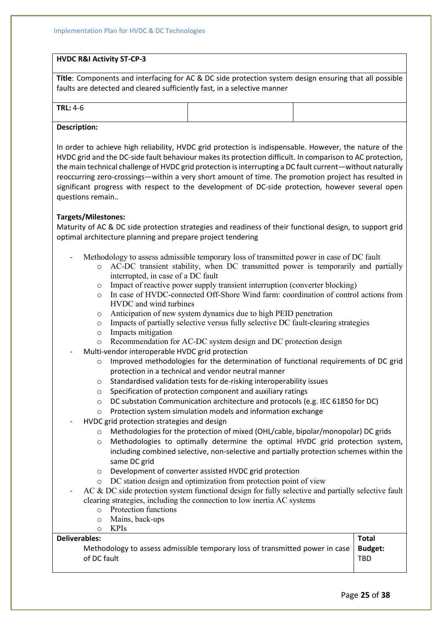## **HVDC R&I Activity ST-CP-3**

**Title**: Components and interfacing for AC & DC side protection system design ensuring that all possible faults are detected and cleared sufficiently fast, in a selective manner

| $4-6$<br><b>TRI</b><br>. u<br>.<br>$\sim$ |  |  |  |
|-------------------------------------------|--|--|--|
| .<br>$\sim$                               |  |  |  |

### **Description:**

In order to achieve high reliability, HVDC grid protection is indispensable. However, the nature of the HVDC grid and the DC-side fault behaviour makes its protection difficult. In comparison to AC protection, the main technical challenge of HVDC grid protection is interrupting a DC fault current—without naturally reoccurring zero-crossings—within a very short amount of time. The promotion project has resulted in significant progress with respect to the development of DC-side protection, however several open questions remain.*.*

### **Targets/Milestones:**

Maturity of AC & DC side protection strategies and readiness of their functional design, to support grid optimal architecture planning and prepare project tendering

- Methodology to assess admissible temporary loss of transmitted power in case of DC fault
	- o AC-DC transient stability, when DC transmitted power is temporarily and partially interrupted, in case of a DC fault
	- o Impact of reactive power supply transient interruption (converter blocking)
	- o In case of HVDC-connected Off-Shore Wind farm: coordination of control actions from HVDC and wind turbines
	- o Anticipation of new system dynamics due to high PEID penetration
	- $\circ$  Impacts of partially selective versus fully selective DC fault-clearing strategies
	- o Impacts mitigation
	- o Recommendation for AC-DC system design and DC protection design
- Multi-vendor interoperable HVDC grid protection
	- $\circ$  Improved methodologies for the determination of functional requirements of DC grid protection in a technical and vendor neutral manner
	- o Standardised validation tests for de-risking interoperability issues
	- o Specification of protection component and auxiliary ratings
	- o DC substation Communication architecture and protocols (e.g. IEC 61850 for DC)
	- o Protection system simulation models and information exchange
- HVDC grid protection strategies and design
	- o Methodologies for the protection of mixed (OHL/cable, bipolar/monopolar) DC grids
	- o Methodologies to optimally determine the optimal HVDC grid protection system, including combined selective, non-selective and partially protection schemes within the same DC grid
	- o Development of converter assisted HVDC grid protection
	- o DC station design and optimization from protection point of view
- AC & DC side protection system functional design for fully selective and partially selective fault clearing strategies, including the connection to low inertia AC systems
	- o Protection functions
	- o Mains, back-ups
	- o KPIs

### **Deliverables:**

Methodology to assess admissible temporary loss of transmitted power in case of DC fault **Budget:** TBD

**Total**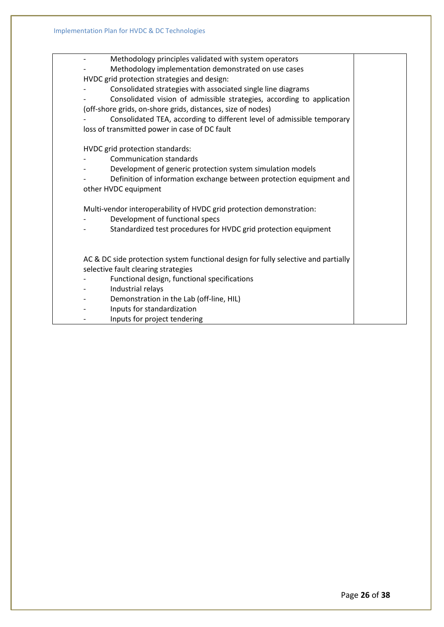- Methodology principles validated with system operators Methodology implementation demonstrated on use cases HVDC grid protection strategies and design: Consolidated strategies with associated single line diagrams - Consolidated vision of admissible strategies, according to application (off-shore grids, on-shore grids, distances, size of nodes) - Consolidated TEA, according to different level of admissible temporary loss of transmitted power in case of DC fault HVDC grid protection standards: Communication standards Development of generic protection system simulation models Definition of information exchange between protection equipment and other HVDC equipment Multi-vendor interoperability of HVDC grid protection demonstration: Development of functional specs - Standardized test procedures for HVDC grid protection equipment AC & DC side protection system functional design for fully selective and partially selective fault clearing strategies - Functional design, functional specifications - Industrial relays Demonstration in the Lab (off-line, HIL) - Inputs for standardization - Inputs for project tendering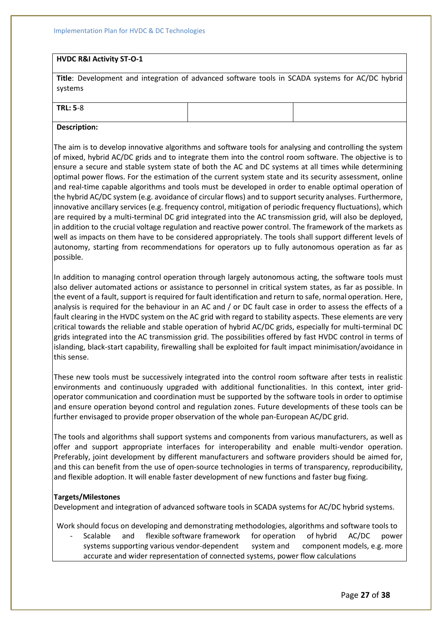### **HVDC R&I Activity ST-O-1**

**Title**: Development and integration of advanced software tools in SCADA systems for AC/DC hybrid systems

### **TRL: 5**-8

### **Description:**

The aim is to develop innovative algorithms and software tools for analysing and controlling the system of mixed, hybrid AC/DC grids and to integrate them into the control room software. The objective is to ensure a secure and stable system state of both the AC and DC systems at all times while determining optimal power flows. For the estimation of the current system state and its security assessment, online and real-time capable algorithms and tools must be developed in order to enable optimal operation of the hybrid AC/DC system (e.g. avoidance of circular flows) and to support security analyses. Furthermore, innovative ancillary services (e.g. frequency control, mitigation of periodic frequency fluctuations), which are required by a multi-terminal DC grid integrated into the AC transmission grid, will also be deployed, in addition to the crucial voltage regulation and reactive power control. The framework of the markets as well as impacts on them have to be considered appropriately. The tools shall support different levels of autonomy, starting from recommendations for operators up to fully autonomous operation as far as possible.

In addition to managing control operation through largely autonomous acting, the software tools must also deliver automated actions or assistance to personnel in critical system states, as far as possible. In the event of a fault, support is required for fault identification and return to safe, normal operation. Here, analysis is required for the behaviour in an AC and / or DC fault case in order to assess the effects of a fault clearing in the HVDC system on the AC grid with regard to stability aspects. These elements are very critical towards the reliable and stable operation of hybrid AC/DC grids, especially for multi-terminal DC grids integrated into the AC transmission grid. The possibilities offered by fast HVDC control in terms of islanding, black-start capability, firewalling shall be exploited for fault impact minimisation/avoidance in this sense.

These new tools must be successively integrated into the control room software after tests in realistic environments and continuously upgraded with additional functionalities. In this context, inter gridoperator communication and coordination must be supported by the software tools in order to optimise and ensure operation beyond control and regulation zones. Future developments of these tools can be further envisaged to provide proper observation of the whole pan-European AC/DC grid.

The tools and algorithms shall support systems and components from various manufacturers, as well as offer and support appropriate interfaces for interoperability and enable multi-vendor operation. Preferably, joint development by different manufacturers and software providers should be aimed for, and this can benefit from the use of open-source technologies in terms of transparency, reproducibility, and flexible adoption. It will enable faster development of new functions and faster bug fixing.

### **Targets/Milestones**

Development and integration of advanced software tools in SCADA systems for AC/DC hybrid systems.

Work should focus on developing and demonstrating methodologies, algorithms and software tools to

- Scalable and flexible software framework for operation of hybrid AC/DC power systems supporting various vendor-dependent system and component models, e.g. more accurate and wider representation of connected systems, power flow calculations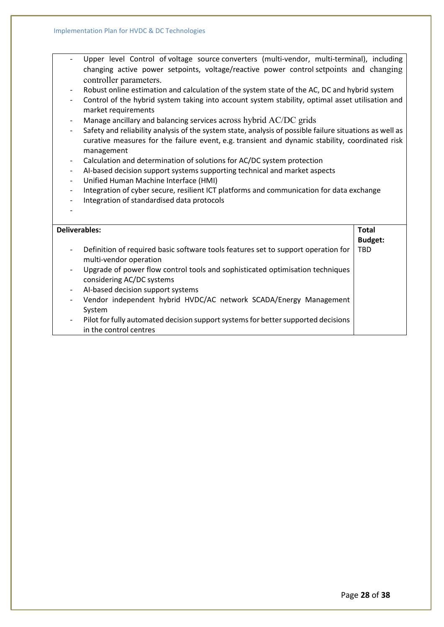- Upper level Control of voltage source converters (multi-vendor, multi-terminal), including changing active power setpoints, voltage/reactive power control setpoints and changing controller parameters.
- Robust online estimation and calculation of the system state of the AC, DC and hybrid system
- Control of the hybrid system taking into account system stability, optimal asset utilisation and market requirements
- Manage ancillary and balancing services across hybrid AC/DC grids
- Safety and reliability analysis of the system state, analysis of possible failure situations as well as curative measures for the failure event, e.g. transient and dynamic stability, coordinated risk management
- Calculation and determination of solutions for AC/DC system protection
- AI-based decision support systems supporting technical and market aspects
- Unified Human Machine Interface (HMI)
- Integration of cyber secure, resilient ICT platforms and communication for data exchange
- Integration of standardised data protocols

-

| Deliverables:            |                                                                                                             | <b>Total</b>   |
|--------------------------|-------------------------------------------------------------------------------------------------------------|----------------|
|                          |                                                                                                             | <b>Budget:</b> |
| $\overline{\phantom{a}}$ | Definition of required basic software tools features set to support operation for<br>multi-vendor operation | <b>TBD</b>     |
|                          | Upgrade of power flow control tools and sophisticated optimisation techniques<br>considering AC/DC systems  |                |
| $\overline{\phantom{a}}$ | AI-based decision support systems                                                                           |                |
|                          | Vendor independent hybrid HVDC/AC network SCADA/Energy Management<br>System                                 |                |
|                          | Pilot for fully automated decision support systems for better supported decisions                           |                |
|                          | in the control centres                                                                                      |                |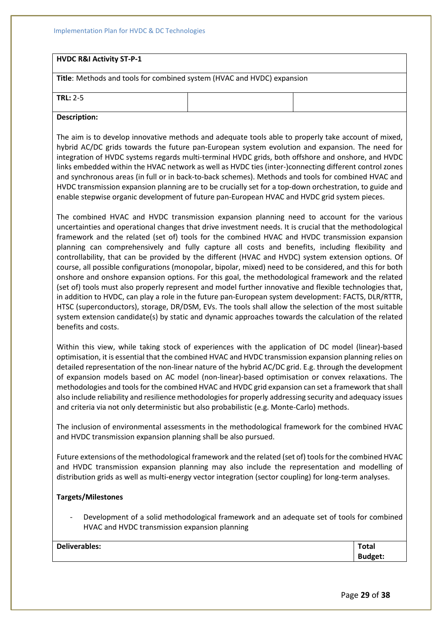Implementation Plan for HVDC & DC Technologies

### **HVDC R&I Activity ST-P-1**

**Title**: Methods and tools for combined system (HVAC and HVDC) expansion

**TRL:** 2-5

#### **Description:**

The aim is to develop innovative methods and adequate tools able to properly take account of mixed, hybrid AC/DC grids towards the future pan-European system evolution and expansion. The need for integration of HVDC systems regards multi-terminal HVDC grids, both offshore and onshore, and HVDC links embedded within the HVAC network as well as HVDC ties (inter-)connecting different control zones and synchronous areas (in full or in back-to-back schemes). Methods and tools for combined HVAC and HVDC transmission expansion planning are to be crucially set for a top-down orchestration, to guide and enable stepwise organic development of future pan-European HVAC and HVDC grid system pieces.

The combined HVAC and HVDC transmission expansion planning need to account for the various uncertainties and operational changes that drive investment needs. It is crucial that the methodological framework and the related (set of) tools for the combined HVAC and HVDC transmission expansion planning can comprehensively and fully capture all costs and benefits, including flexibility and controllability, that can be provided by the different (HVAC and HVDC) system extension options. Of course, all possible configurations (monopolar, bipolar, mixed) need to be considered, and this for both onshore and onshore expansion options. For this goal, the methodological framework and the related (set of) tools must also properly represent and model further innovative and flexible technologies that, in addition to HVDC, can play a role in the future pan-European system development: FACTS, DLR/RTTR, HTSC (superconductors), storage, DR/DSM, EVs. The tools shall allow the selection of the most suitable system extension candidate(s) by static and dynamic approaches towards the calculation of the related benefits and costs.

Within this view, while taking stock of experiences with the application of DC model (linear)-based optimisation, it is essential that the combined HVAC and HVDC transmission expansion planning relies on detailed representation of the non-linear nature of the hybrid AC/DC grid. E.g. through the development of expansion models based on AC model (non-linear)-based optimisation or convex relaxations. The methodologies and tools for the combined HVAC and HVDC grid expansion can set a framework that shall also include reliability and resilience methodologies for properly addressing security and adequacy issues and criteria via not only deterministic but also probabilistic (e.g. Monte-Carlo) methods.

The inclusion of environmental assessments in the methodological framework for the combined HVAC and HVDC transmission expansion planning shall be also pursued.

Future extensions of the methodological framework and the related (set of) tools for the combined HVAC and HVDC transmission expansion planning may also include the representation and modelling of distribution grids as well as multi-energy vector integration (sector coupling) for long-term analyses.

### **Targets/Milestones**

- Development of a solid methodological framework and an adequate set of tools for combined HVAC and HVDC transmission expansion planning

| <b>Deliverables:</b> | <b>Total</b>   |
|----------------------|----------------|
|                      | <b>Budget:</b> |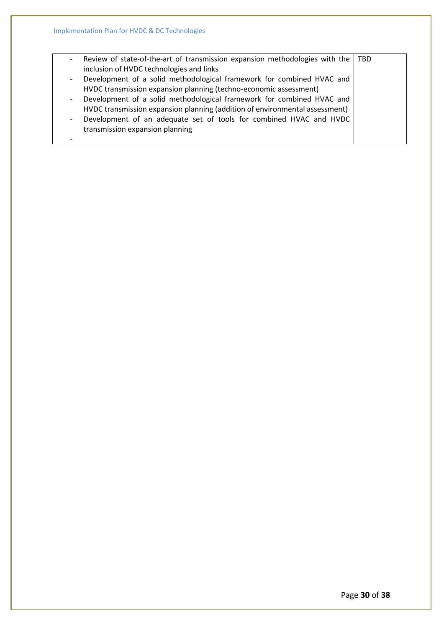| $\overline{\phantom{a}}$ | Review of state-of-the-art of transmission expansion methodologies with the | <b>TBD</b> |
|--------------------------|-----------------------------------------------------------------------------|------------|
|                          | inclusion of HVDC technologies and links                                    |            |
| $\overline{\phantom{a}}$ | Development of a solid methodological framework for combined HVAC and       |            |
|                          | HVDC transmission expansion planning (techno-economic assessment)           |            |
| $\overline{\phantom{0}}$ | Development of a solid methodological framework for combined HVAC and       |            |
|                          | HVDC transmission expansion planning (addition of environmental assessment) |            |
| $\overline{\phantom{0}}$ | Development of an adequate set of tools for combined HVAC and HVDC          |            |
|                          | transmission expansion planning                                             |            |
|                          |                                                                             |            |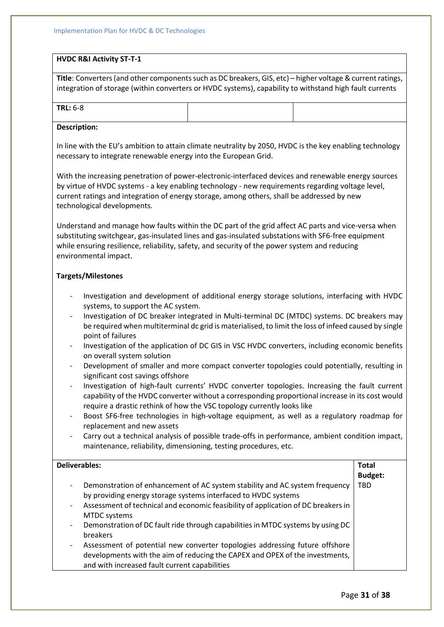### **HVDC R&I Activity ST-T-1**

**Title**: Converters (and other components such as DC breakers, GIS, etc) – higher voltage & current ratings, integration of storage (within converters or HVDC systems), capability to withstand high fault currents

| $\sim$ $\sim$<br>TDI<br>้ค่ะห<br>ີ |  |
|------------------------------------|--|
|                                    |  |

### **Description:**

In line with the EU's ambition to attain climate neutrality by 2050, HVDC is the key enabling technology necessary to integrate renewable energy into the European Grid.

With the increasing penetration of power-electronic-interfaced devices and renewable energy sources by virtue of HVDC systems - a key enabling technology - new requirements regarding voltage level, current ratings and integration of energy storage, among others, shall be addressed by new technological developments.

Understand and manage how faults within the DC part of the grid affect AC parts and vice-versa when substituting switchgear, gas-insulated lines and gas-insulated substations with SF6-free equipment while ensuring resilience, reliability, safety, and security of the power system and reducing environmental impact.

### **Targets/Milestones**

- Investigation and development of additional energy storage solutions, interfacing with HVDC systems, to support the AC system.
- Investigation of DC breaker integrated in Multi-terminal DC (MTDC) systems. DC breakers may be required when multiterminal dc grid is materialised, to limit the loss of infeed caused by single point of failures
- Investigation of the application of DC GIS in VSC HVDC converters, including economic benefits on overall system solution
- Development of smaller and more compact converter topologies could potentially, resulting in significant cost savings offshore
- Investigation of high-fault currents' HVDC converter topologies. Increasing the fault current capability of the HVDC converter without a corresponding proportional increase in its cost would require a drastic rethink of how the VSC topology currently looks like
- Boost SF6-free technologies in high-voltage equipment, as well as a regulatory roadmap for replacement and new assets
- Carry out a technical analysis of possible trade-offs in performance, ambient condition impact, maintenance, reliability, dimensioning, testing procedures, etc.

### **Deliverables:**

- Demonstration of enhancement of AC system stability and AC system frequency by providing energy storage systems interfaced to HVDC systems **Budget:** TBD
- Assessment of technical and economic feasibility of application of DC breakers in MTDC systems
- Demonstration of DC fault ride through capabilities in MTDC systems by using DC breakers
- Assessment of potential new converter topologies addressing future offshore developments with the aim of reducing the CAPEX and OPEX of the investments, and with increased fault current capabilities

**Total**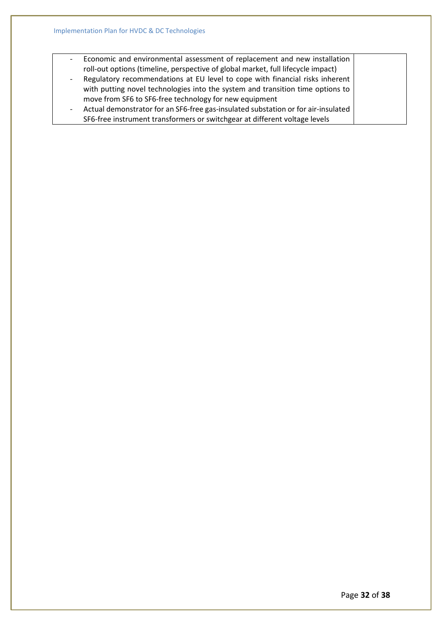- Economic and environmental assessment of replacement and new installation roll-out options (timeline, perspective of global market, full lifecycle impact) - Regulatory recommendations at EU level to cope with financial risks inherent with putting novel technologies into the system and transition time options to
- move from SF6 to SF6-free technology for new equipment - Actual demonstrator for an SF6-free gas-insulated substation or for air-insulated SF6-free instrument transformers or switchgear at different voltage levels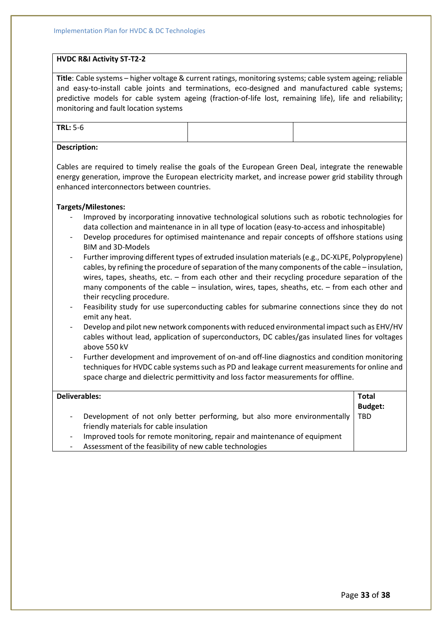### **HVDC R&I Activity ST-T2-2**

**Title**: Cable systems – higher voltage & current ratings, monitoring systems; cable system ageing; reliable and easy-to-install cable joints and terminations, eco-designed and manufactured cable systems; predictive models for cable system ageing (fraction-of-life lost, remaining life), life and reliability; monitoring and fault location systems

|--|

### **Description:**

Cables are required to timely realise the goals of the European Green Deal, integrate the renewable energy generation, improve the European electricity market, and increase power grid stability through enhanced interconnectors between countries.

### **Targets/Milestones:**

- Improved by incorporating innovative technological solutions such as robotic technologies for data collection and maintenance in in all type of location (easy-to-access and inhospitable)
- Develop procedures for optimised maintenance and repair concepts of offshore stations using BIM and 3D-Models
- Further improving different types of extruded insulation materials (e.g., DC-XLPE, Polypropylene) cables, by refining the procedure of separation of the many components of the cable – insulation, wires, tapes, sheaths, etc. – from each other and their recycling procedure separation of the many components of the cable – insulation, wires, tapes, sheaths, etc. – from each other and their recycling procedure.
- Feasibility study for use superconducting cables for submarine connections since they do not emit any heat.
- Develop and pilot new network components with reduced environmental impact such as EHV/HV cables without lead, application of superconductors, DC cables/gas insulated lines for voltages above 550 kV
- Further development and improvement of on-and off-line diagnostics and condition monitoring techniques for HVDC cable systems such as PD and leakage current measurements for online and space charge and dielectric permittivity and loss factor measurements for offline.

| Deliverables:                                                                                                                                                                                | <b>Total</b><br><b>Budget:</b> |
|----------------------------------------------------------------------------------------------------------------------------------------------------------------------------------------------|--------------------------------|
| Development of not only better performing, but also more environmentally<br>$\overline{\phantom{a}}$<br>friendly materials for cable insulation                                              | <b>TBD</b>                     |
| Improved tools for remote monitoring, repair and maintenance of equipment<br>$\overline{\phantom{a}}$<br>Assessment of the feasibility of new cable technologies<br>$\overline{\phantom{a}}$ |                                |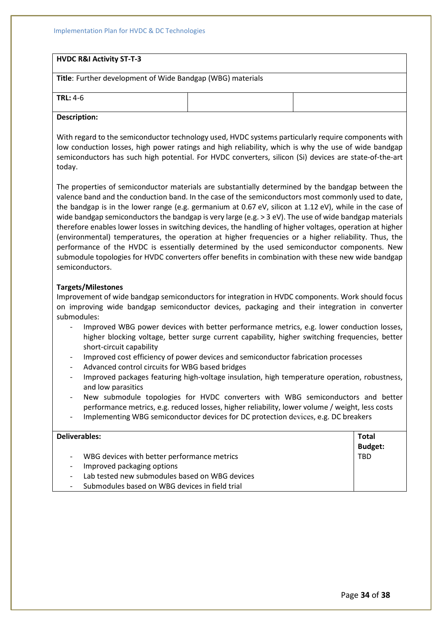### **HVDC R&I Activity ST-T-3**

**Title**: Further development of Wide Bandgap (WBG) materials

|--|--|

#### **Description:**

With regard to the semiconductor technology used, HVDC systems particularly require components with low conduction losses, high power ratings and high reliability, which is why the use of wide bandgap semiconductors has such high potential. For HVDC converters, silicon (Si) devices are state-of-the-art today.

The properties of semiconductor materials are substantially determined by the bandgap between the valence band and the conduction band. In the case of the semiconductors most commonly used to date, the bandgap is in the lower range (e.g. germanium at 0.67 eV, silicon at 1.12 eV), while in the case of wide bandgap semiconductors the bandgap is very large (e.g. > 3 eV). The use of wide bandgap materials therefore enables lower losses in switching devices, the handling of higher voltages, operation at higher (environmental) temperatures, the operation at higher frequencies or a higher reliability. Thus, the performance of the HVDC is essentially determined by the used semiconductor components. New submodule topologies for HVDC converters offer benefits in combination with these new wide bandgap semiconductors.

### **Targets/Milestones**

Improvement of wide bandgap semiconductors for integration in HVDC components. Work should focus on improving wide bandgap semiconductor devices, packaging and their integration in converter submodules:

- Improved WBG power devices with better performance metrics, e.g. lower conduction losses, higher blocking voltage, better surge current capability, higher switching frequencies, better short-circuit capability
- Improved cost efficiency of power devices and semiconductor fabrication processes
- Advanced control circuits for WBG based bridges
- Improved packages featuring high-voltage insulation, high temperature operation, robustness, and low parasitics
- New submodule topologies for HVDC converters with WBG semiconductors and better performance metrics, e.g. reduced losses, higher reliability, lower volume / weight, less costs
- Implementing WBG semiconductor devices for DC protection devices, e.g. DC breakers

| Deliverables:                                    | <b>Total</b>   |
|--------------------------------------------------|----------------|
|                                                  | <b>Budget:</b> |
| WBG devices with better performance metrics      | <b>TBD</b>     |
| Improved packaging options                       |                |
| - Lab tested new submodules based on WBG devices |                |
| Submodules based on WBG devices in field trial   |                |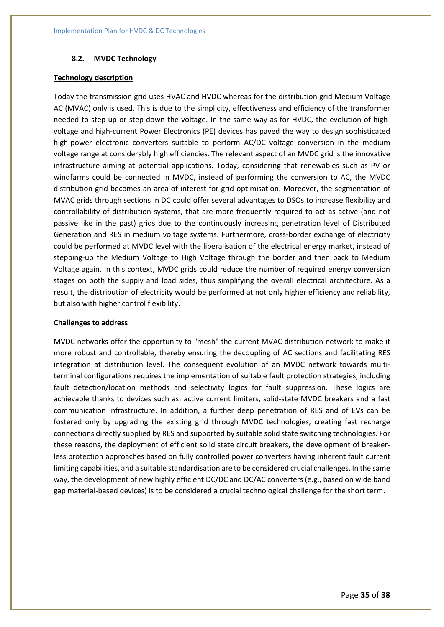### **8.2. MVDC Technology**

#### **Technology description**

Today the transmission grid uses HVAC and HVDC whereas for the distribution grid Medium Voltage AC (MVAC) only is used. This is due to the simplicity, effectiveness and efficiency of the transformer needed to step-up or step-down the voltage. In the same way as for HVDC, the evolution of highvoltage and high-current Power Electronics (PE) devices has paved the way to design sophisticated high-power electronic converters suitable to perform AC/DC voltage conversion in the medium voltage range at considerably high efficiencies. The relevant aspect of an MVDC grid is the innovative infrastructure aiming at potential applications. Today, considering that renewables such as PV or windfarms could be connected in MVDC, instead of performing the conversion to AC, the MVDC distribution grid becomes an area of interest for grid optimisation. Moreover, the segmentation of MVAC grids through sections in DC could offer several advantages to DSOs to increase flexibility and controllability of distribution systems, that are more frequently required to act as active (and not passive like in the past) grids due to the continuously increasing penetration level of Distributed Generation and RES in medium voltage systems. Furthermore, cross-border exchange of electricity could be performed at MVDC level with the liberalisation of the electrical energy market, instead of stepping-up the Medium Voltage to High Voltage through the border and then back to Medium Voltage again. In this context, MVDC grids could reduce the number of required energy conversion stages on both the supply and load sides, thus simplifying the overall electrical architecture. As a result, the distribution of electricity would be performed at not only higher efficiency and reliability, but also with higher control flexibility.

### **Challenges to address**

MVDC networks offer the opportunity to "mesh" the current MVAC distribution network to make it more robust and controllable, thereby ensuring the decoupling of AC sections and facilitating RES integration at distribution level. The consequent evolution of an MVDC network towards multiterminal configurations requires the implementation of suitable fault protection strategies, including fault detection/location methods and selectivity logics for fault suppression. These logics are achievable thanks to devices such as: active current limiters, solid-state MVDC breakers and a fast communication infrastructure. In addition, a further deep penetration of RES and of EVs can be fostered only by upgrading the existing grid through MVDC technologies, creating fast recharge connections directly supplied by RES and supported by suitable solid state switching technologies. For these reasons, the deployment of efficient solid state circuit breakers, the development of breakerless protection approaches based on fully controlled power converters having inherent fault current limiting capabilities, and a suitable standardisation are to be considered crucial challenges. In the same way, the development of new highly efficient DC/DC and DC/AC converters (e.g., based on wide band gap material-based devices) is to be considered a crucial technological challenge for the short term.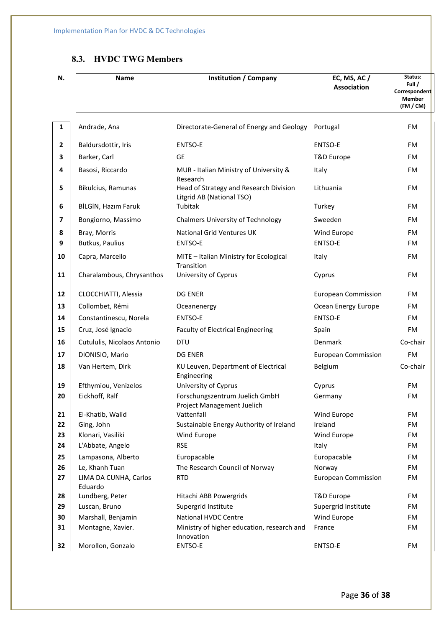## **8.3. HVDC TWG Members**

| N.                      | <b>Name</b>                          | <b>Institution / Company</b>                                        | EC, MS, AC /<br><b>Association</b> | Status:<br>Full /<br>Correspondent<br><b>Member</b><br>(FM / CM) |
|-------------------------|--------------------------------------|---------------------------------------------------------------------|------------------------------------|------------------------------------------------------------------|
| 1                       | Andrade, Ana                         | Directorate-General of Energy and Geology                           | Portugal                           | FM                                                               |
| $\mathbf{2}$            | Baldursdottir, Iris                  | ENTSO-E                                                             | ENTSO-E                            | FM                                                               |
| 3                       | Barker, Carl                         | <b>GE</b>                                                           | T&D Europe                         | FM                                                               |
| 4                       | Basosi, Riccardo                     | MUR - Italian Ministry of University &<br>Research                  | Italy                              | FM                                                               |
| 5                       | Bikulcius, Ramunas                   | Head of Strategy and Research Division<br>Litgrid AB (National TSO) | Lithuania                          | FM                                                               |
| 6                       | BİLGİN, Hazım Faruk                  | Tubitak                                                             | Turkey                             | FM                                                               |
| $\overline{\mathbf{z}}$ | Bongiorno, Massimo                   | <b>Chalmers University of Technology</b>                            | Sweeden                            | FM                                                               |
| 8                       | Bray, Morris                         | <b>National Grid Ventures UK</b>                                    | Wind Europe                        | FM                                                               |
| 9                       | <b>Butkus, Paulius</b>               | ENTSO-E                                                             | ENTSO-E                            | FM                                                               |
| 10                      | Capra, Marcello                      | MITE - Italian Ministry for Ecological<br>Transition                | Italy                              | <b>FM</b>                                                        |
| 11                      | Charalambous, Chrysanthos            | University of Cyprus                                                | Cyprus                             | FM                                                               |
| 12                      | CLOCCHIATTI, Alessia                 | <b>DG ENER</b>                                                      | <b>European Commission</b>         | FM                                                               |
| 13                      | Collombet, Rémi                      | Oceanenergy                                                         | Ocean Energy Europe                | FM                                                               |
| 14                      | Constantinescu, Norela               | ENTSO-E                                                             | ENTSO-E                            | FM                                                               |
| 15                      | Cruz, José Ignacio                   | Faculty of Electrical Engineering                                   | Spain                              | <b>FM</b>                                                        |
| 16                      | Cutululis, Nicolaos Antonio          | <b>DTU</b>                                                          | Denmark                            | Co-chair                                                         |
| 17                      | DIONISIO, Mario                      | <b>DG ENER</b>                                                      | <b>European Commission</b>         | FM                                                               |
| 18                      | Van Hertem, Dirk                     | KU Leuven, Department of Electrical<br>Engineering                  | Belgium                            | Co-chair                                                         |
| 19                      | Efthymiou, Venizelos                 | University of Cyprus                                                | Cyprus                             | <b>FM</b>                                                        |
| 20                      | Eickhoff, Ralf                       | Forschungszentrum Juelich GmbH<br>Project Management Juelich        | Germany                            | FM                                                               |
| 21                      | El-Khatib, Walid                     | Vattenfall                                                          | Wind Europe                        | FM                                                               |
| 22                      | Ging, John                           | Sustainable Energy Authority of Ireland                             | Ireland                            | FM                                                               |
| 23                      | Klonari, Vasiliki                    | Wind Europe                                                         | Wind Europe                        | FM                                                               |
| 24                      | L'Abbate, Angelo                     | <b>RSE</b>                                                          | Italy                              | FM                                                               |
| 25<br>26                | Lampasona, Alberto<br>Le, Khanh Tuan | Europacable<br>The Research Council of Norway                       | Europacable<br>Norway              | FM<br>FM                                                         |
| 27                      | LIMA DA CUNHA, Carlos<br>Eduardo     | <b>RTD</b>                                                          | <b>European Commission</b>         | FM                                                               |
| 28                      | Lundberg, Peter                      | Hitachi ABB Powergrids                                              | T&D Europe                         | FM                                                               |
| 29                      | Luscan, Bruno                        | Supergrid Institute                                                 | Supergrid Institute                | FM                                                               |
| 30                      | Marshall, Benjamin                   | National HVDC Centre                                                | Wind Europe                        | FM                                                               |
| 31                      | Montagne, Xavier.                    | Ministry of higher education, research and<br>Innovation            | France                             | FM                                                               |
| 32                      | Morollon, Gonzalo                    | ENTSO-E                                                             | ENTSO-E                            | FM                                                               |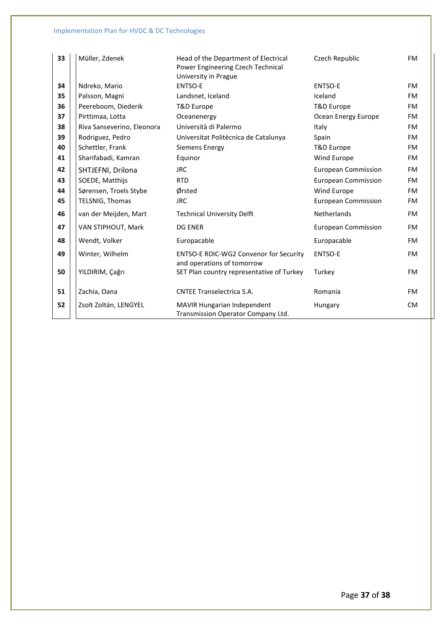| 33 | Müller, Zdenek             | Head of the Department of Electrical<br>Power Engineering Czech Technical<br>University in Prague | Czech Republic             | <b>FM</b> |
|----|----------------------------|---------------------------------------------------------------------------------------------------|----------------------------|-----------|
| 34 | Ndreko, Mario              | <b>ENTSO-E</b>                                                                                    | <b>ENTSO-E</b>             | <b>FM</b> |
| 35 | Palsson, Magni             | Landsnet, Iceland                                                                                 | Iceland                    | <b>FM</b> |
| 36 | Peereboom, Diederik        | T&D Europe                                                                                        | T&D Europe                 | FM.       |
| 37 | Pirttimaa, Lotta           | Oceanenergy                                                                                       | Ocean Energy Europe        | FM.       |
| 38 | Riva Sanseverino, Eleonora | Università di Palermo                                                                             | Italy                      | FM.       |
| 39 | Rodriguez, Pedro           | Universitat Politècnica de Catalunya                                                              | Spain                      | <b>FM</b> |
| 40 | Schettler, Frank           | Siemens Energy                                                                                    | T&D Europe                 | FM.       |
| 41 | Sharifabadi, Kamran        | Equinor                                                                                           | Wind Europe                | <b>FM</b> |
| 42 | SHTJEFNI, Drilona          | <b>JRC</b>                                                                                        | <b>European Commission</b> | FM.       |
| 43 | SOEDE, Matthijs            | <b>RTD</b>                                                                                        | <b>European Commission</b> | FM.       |
| 44 | Sørensen, Troels Stybe     | Ørsted                                                                                            | Wind Europe                | <b>FM</b> |
| 45 | TELSNIG, Thomas            | <b>JRC</b>                                                                                        | <b>European Commission</b> | FM.       |
| 46 | van der Meijden, Mart      | <b>Technical University Delft</b>                                                                 | <b>Netherlands</b>         | <b>FM</b> |
| 47 | VAN STIPHOUT, Mark         | <b>DG ENER</b>                                                                                    | <b>European Commission</b> | <b>FM</b> |
| 48 | Wendt, Volker              | Europacable                                                                                       | Europacable                | <b>FM</b> |
| 49 | Winter, Wilhelm            | <b>ENTSO-E RDIC-WG2 Convenor for Security</b><br>and operations of tomorrow                       | <b>ENTSO-E</b>             | <b>FM</b> |
| 50 | YILDIRIM, Çağrı            | SET Plan country representative of Turkey<br>Turkey                                               |                            | <b>FM</b> |
| 51 | Zachia, Oana               | <b>CNTEE Transelectrica S.A.</b>                                                                  | Romania                    | <b>FM</b> |
| 52 | Zsolt Zoltán, LENGYEL      | MAVIR Hungarian Independent<br>Transmission Operator Company Ltd.                                 | Hungary                    | <b>CM</b> |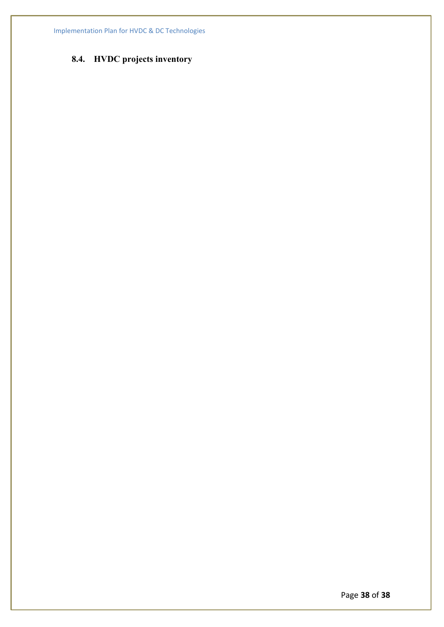# **8.4. HVDC projects inventory**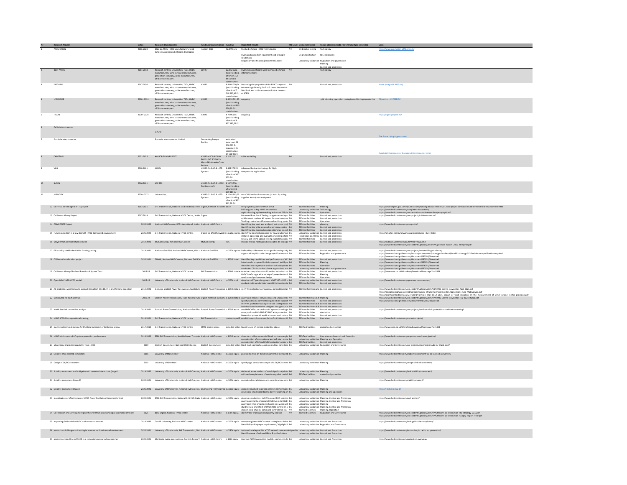| Nr | Research Project                                                                       | <b>Dates</b>      |                                                                                                            | Funding Organization(s) Funding Important Results |                                                     |                                                                                                                                                                                                                                         |                                                               | TRL Level Demonstrator(s) Topics addressed (add rows for multiple selection)                                     | <b>Links</b>                                                                                                                                                                                                                         |
|----|----------------------------------------------------------------------------------------|-------------------|------------------------------------------------------------------------------------------------------------|---------------------------------------------------|-----------------------------------------------------|-----------------------------------------------------------------------------------------------------------------------------------------------------------------------------------------------------------------------------------------|---------------------------------------------------------------|------------------------------------------------------------------------------------------------------------------|--------------------------------------------------------------------------------------------------------------------------------------------------------------------------------------------------------------------------------------|
|    | PROMOTION                                                                              | 2016-2020         | DNV GL TSOs. HVDC Manufacturers, wind<br>urbine suppliers and offshore dev                                 | Horizon 2020                                      |                                                     | 42.8M Euro Meshed offshore HVDC Technologies<br>$7-9$                                                                                                                                                                                   | DC breaker testing Technolog                                  |                                                                                                                  |                                                                                                                                                                                                                                      |
|    |                                                                                        |                   |                                                                                                            |                                                   |                                                     | HVDC grid protection equipment and principle                                                                                                                                                                                            | DC grid protection RES Integration                            |                                                                                                                  |                                                                                                                                                                                                                                      |
|    |                                                                                        |                   |                                                                                                            |                                                   |                                                     | Regulatory and financing recommendations                                                                                                                                                                                                |                                                               | Laboratory validation Regulation and governance                                                                  |                                                                                                                                                                                                                                      |
|    |                                                                                        |                   |                                                                                                            |                                                   |                                                     |                                                                                                                                                                                                                                         |                                                               | Planning<br>Control and protecti                                                                                 |                                                                                                                                                                                                                                      |
|    | REST PATHS                                                                             | 2014-2018         | Research centres, Universities, TSOs, HVDC EU FP7<br>manufacturers, wind turbine manufacturers,            |                                                   |                                                     | 62.8 M Euro HVDC links in offshore wind farms and offshore 7-9                                                                                                                                                                          |                                                               | nology                                                                                                           |                                                                                                                                                                                                                                      |
|    |                                                                                        |                   | generation company, cable manufacturers,                                                                   |                                                   | (total funding,<br>of which 35.5                    |                                                                                                                                                                                                                                         |                                                               |                                                                                                                  |                                                                                                                                                                                                                                      |
|    |                                                                                        |                   | offshore developers                                                                                        |                                                   | M Euro EU                                           |                                                                                                                                                                                                                                         |                                                               |                                                                                                                  |                                                                                                                                                                                                                                      |
|    | FASTGRID                                                                               | 2017-2020         | Research centres, Universities, TSOs, HVDC<br>manufacturers, wind turbine manufacturers,                   |                                                   |                                                     | Community<br>C 8 602 250,54 improving the properties of the REBCO tapes to<br>(total funding, enhance significantly (by 2 to 3 times) the electric                                                                                      |                                                               | Control and protectio                                                                                            | Home (fastgrid-h2020.eu)                                                                                                                                                                                                             |
|    |                                                                                        |                   | generation company, cable manufacturers,                                                                   |                                                   | of which £7                                         | field limit and so the economical attractiveness                                                                                                                                                                                        |                                                               |                                                                                                                  |                                                                                                                                                                                                                                      |
|    |                                                                                        |                   | offshore developers                                                                                        |                                                   | 248 235.42 EU of SCFCL                              |                                                                                                                                                                                                                                         |                                                               |                                                                                                                  |                                                                                                                                                                                                                                      |
|    | HYPERRIDE                                                                              | $2020 - 2024$     | Research centres, Universities, TSOs, HVDC H2020<br>manufacturers, wind turbine manufacturers,             |                                                   | € 8 233 501,25 on going                             |                                                                                                                                                                                                                                         |                                                               | grid planning, operation strategies and its implementation   Qbjectives - HYPERRIDE                              |                                                                                                                                                                                                                                      |
|    |                                                                                        |                   | generation company, cable manufacturers,                                                                   |                                                   | (total funding<br>of which 6965                     |                                                                                                                                                                                                                                         |                                                               |                                                                                                                  |                                                                                                                                                                                                                                      |
|    |                                                                                        |                   | offshore developer                                                                                         |                                                   | 520.50 EU                                           |                                                                                                                                                                                                                                         |                                                               |                                                                                                                  |                                                                                                                                                                                                                                      |
|    | TIGON                                                                                  | 2020 - 2024       | Research centres, Universities, TSOs, HVDC                                                                 | H2020                                             | £7996115 on-going                                   |                                                                                                                                                                                                                                         |                                                               |                                                                                                                  | https://tigon-project.eu/                                                                                                                                                                                                            |
|    |                                                                                        |                   | manufacturers, wind turbine manufacturers                                                                  |                                                   | (total funding,                                     |                                                                                                                                                                                                                                         |                                                               |                                                                                                                  |                                                                                                                                                                                                                                      |
|    |                                                                                        |                   | manuse.curers, wind cureme manuse.curer<br>generation company, cable manufacturers,<br>offshore developers |                                                   | of which C6<br>957 197,01 EU                        |                                                                                                                                                                                                                                         |                                                               |                                                                                                                  |                                                                                                                                                                                                                                      |
|    | Celtic Interconnector                                                                  |                   |                                                                                                            |                                                   |                                                     |                                                                                                                                                                                                                                         |                                                               |                                                                                                                  |                                                                                                                                                                                                                                      |
|    |                                                                                        |                   | EirGrid                                                                                                    |                                                   |                                                     |                                                                                                                                                                                                                                         |                                                               |                                                                                                                  |                                                                                                                                                                                                                                      |
|    | Furnácia Intern                                                                        |                   | EuroAsia Interconnector Limited                                                                            | Connecting Europe                                 | estimated                                           |                                                                                                                                                                                                                                         |                                                               |                                                                                                                  |                                                                                                                                                                                                                                      |
|    |                                                                                        |                   |                                                                                                            | Facility                                          | total cost: 29<br>000 000 €                         |                                                                                                                                                                                                                                         |                                                               |                                                                                                                  |                                                                                                                                                                                                                                      |
|    |                                                                                        |                   |                                                                                                            |                                                   | maximum EU<br>contribution                          |                                                                                                                                                                                                                                         |                                                               |                                                                                                                  |                                                                                                                                                                                                                                      |
|    | CABOTION                                                                               |                   | 2021-2023 AALBORG UNIVERSITET                                                                              | H2020-MSCA-IF-2020 € 219 312                      | 4500000                                             | $4-6$                                                                                                                                                                                                                                   |                                                               | Control and protection                                                                                           |                                                                                                                                                                                                                                      |
|    |                                                                                        |                   |                                                                                                            | <b>EXCELLENT SCIENCE -</b>                        |                                                     | cable modelling                                                                                                                                                                                                                         |                                                               |                                                                                                                  |                                                                                                                                                                                                                                      |
|    |                                                                                        |                   |                                                                                                            | Marie Skłor                                       |                                                     |                                                                                                                                                                                                                                         |                                                               |                                                                                                                  |                                                                                                                                                                                                                                      |
|    | VILB                                                                                   | 2018-2021         | AUXEL                                                                                                      |                                                   |                                                     |                                                                                                                                                                                                                                         |                                                               |                                                                                                                  |                                                                                                                                                                                                                                      |
|    |                                                                                        |                   |                                                                                                            | Systems                                           | of which £497                                       | (total funding, temperature applications                                                                                                                                                                                                |                                                               |                                                                                                                  |                                                                                                                                                                                                                                      |
|    |                                                                                        |                   |                                                                                                            |                                                   | 355 EU                                              |                                                                                                                                                                                                                                         |                                                               |                                                                                                                  |                                                                                                                                                                                                                                      |
| 10 | 9eGEN                                                                                  | 2016-2021 ASE SPA |                                                                                                            | H2020-EU.3.4.5.3. - IADP € 1 670 550              |                                                     |                                                                                                                                                                                                                                         |                                                               |                                                                                                                  |                                                                                                                                                                                                                                      |
|    |                                                                                        |                   |                                                                                                            | <b>Fast Rotorcraft</b>                            | total funding<br>of which $\epsilon$ 1              |                                                                                                                                                                                                                                         |                                                               |                                                                                                                  |                                                                                                                                                                                                                                      |
| 11 | HYPNOTIC                                                                               | 2020 - 2022       | <b>Holversities</b>                                                                                        |                                                   |                                                     |                                                                                                                                                                                                                                         |                                                               |                                                                                                                  |                                                                                                                                                                                                                                      |
|    |                                                                                        |                   |                                                                                                            |                                                   | t 1 044 345,75<br>(total funding,<br>of which € 822 | together as only one equipment                                                                                                                                                                                                          |                                                               |                                                                                                                  |                                                                                                                                                                                                                                      |
|    |                                                                                        |                   |                                                                                                            |                                                   | 962,50 EU                                           |                                                                                                                                                                                                                                         |                                                               |                                                                                                                  |                                                                                                                                                                                                                                      |
|    | 12 GB HVDC de-risking via MTTE project                                                 |                   | 2013-2021 SHE Transmission, National Grid Electricity Trans Ofgem, Network Innovati: £11m                  |                                                   |                                                     | live project support for HVDC in GB<br>7.9                                                                                                                                                                                              | TSO test facilities Planning                                  |                                                                                                                  | https://www.ofgem.gov.uk/cy/publications/funding-decision-letter-2013-nic-project-direction-multi-terminal-test-environment-mtte                                                                                                     |
|    |                                                                                        |                   |                                                                                                            |                                                   |                                                     | R&D support in key HVDC innovations<br>replica hosting, update tracking, enhanced FST de 7-9                                                                                                                                            |                                                               |                                                                                                                  | https://www.hvdccentre.com/completed-innovation/<br>https://www.hvdccentre.com/completed-innovation/<br>https://www.hvdccentre.com/our-centre/our-services/replicas/why-replicas/                                                    |
|    | 13 Calthness-Moray Project                                                             | 2017-2019         | SHE Transmission, National HVDC Centre, Natio Ofgem                                                        |                                                   |                                                     | Enhanced Functional Testing using enhanced syste 7-9<br>validation of onshore AC system focussed controls 7-9                                                                                                                           | TSO test facilities<br><b>TSO test facilities</b>             | Control and protection<br>Control and protection                                                                 | https://www.hvdccentre.com/our-projects/caithness-moray/                                                                                                                                                                             |
|    |                                                                                        |                   |                                                                                                            |                                                   |                                                     |                                                                                                                                                                                                                                         | <b>TSO test facilities</b>                                    | Operation                                                                                                        |                                                                                                                                                                                                                                      |
|    | 14 COMPOSITE Project                                                                   |                   | 2020-2020 National HVDC centre. RTE international. Nation National HVDC Centre                             |                                                   |                                                     | vanished on onstant medicines and were interested to the Tradisin control modifications and were view of 2-9<br>Tradising control modifications and were view of 2-9<br>identifying key wide area and supervisory control 4-6<br>Identi | TSO test facilities<br>TSO test facilities                    | planning<br>Control and protection                                                                               | https://www.hvdccentre.com/composite/                                                                                                                                                                                                |
|    | 15 Future protection in a low strength HVDC dominated environment                      |                   | 2021-2024 SHE Transmission, National HVDC centre.                                                          |                                                   |                                                     | Ofterm via ENA (Network Innovation Allow identifying new tests required for new solutions of 4-6                                                                                                                                        |                                                               | TSO test facilities Control and protection<br>Laboratory validation Control and protection                       | https://smarter.energynetworks.org/projects/nia_shet_0033/                                                                                                                                                                           |
|    |                                                                                        |                   |                                                                                                            |                                                   |                                                     | install in open loop and evaluate practical perforn 7-9                                                                                                                                                                                 |                                                               | installation on TSO sy Control and protection                                                                    |                                                                                                                                                                                                                                      |
|    | 16 Moyle HVDC control refurbishment                                                    |                   | 2019-2021 Mutual Energy, National HVDC centre Mutual energy                                                |                                                   | TBC                                                 | Review and refine against testing expectations an: 7-9<br>Provide replica hosting and associated de-risking c 7-9                                                                                                                       |                                                               | TSO test facilities Control and protection<br>TSO test facilities Control and protection                         | ttps://bidstats.uk/tenders/2020/W08/721223852                                                                                                                                                                                        |
|    |                                                                                        |                   |                                                                                                            |                                                   |                                                     |                                                                                                                                                                                                                                         |                                                               |                                                                                                                  | https://www.hvdccentre.com/wp-content/uploads/2019/07/Operators Forum 2019 Hemphill.pdf                                                                                                                                              |
|    | 17 GR stability nathfinder & Grid Forming testing                                      |                   | 2019-2021 National Grid ESO, National HVDC centre, Grid o National Grid ESO                                |                                                   |                                                     | c.£150k equival Defined key differences across grid following and s 4-6<br>supported key Grid code change specification and 7-9                                                                                                         | TSO test facilities<br>TSO test facilities                    | Control and protection<br>Regulation and governance                                                              | https://www.hvdccentre.com/our-projects/eso-stability-pathfinder/                                                                                                                                                                    |
|    |                                                                                        |                   |                                                                                                            |                                                   |                                                     |                                                                                                                                                                                                                                         |                                                               |                                                                                                                  | nups//www.mutucmure.com/uni-sruppic.tyeo-s-acomp-paommon/<br>https://www.nationalgrideso.com/industry-information/codes/grid-code-old/modifications/gc0137-minimum-specification-required<br>https://www.nationalgrideso.com/documen |
|    | 18 Offshore Co-ordination project                                                      |                   | 2020-2021 DNVGL National HVDC centre, National Grid ESC National Grid ESD                                  |                                                   |                                                     | c. £250k total identified key capabilities and performance of HV 4-6<br>introduced a proposed holistic approach to GB pla 4-6                                                                                                           |                                                               | TSO test facilities Control and protection                                                                       | https://www.nationalgrideso.com/document/182931/download                                                                                                                                                                             |
|    |                                                                                        |                   |                                                                                                            |                                                   |                                                     | identified the key services and control and operat 4-6                                                                                                                                                                                  | TSO test facilities Planning<br>TSO test facilities Operation | Regulation and grey                                                                                              | https://www.nationalarideso.com/document/183031/download<br>https://www.nationalgrideso.com/document/176251/download                                                                                                                 |
|    | 19 Calthness-Moray-Shetland Functional System Tests                                    | 2019-24           | SHE Transmission, National HVDC centre                                                                     | SHE Transmission                                  | c. £500k total er ex                                | conducted CBA into value of new approaches, and 4-6<br>examine composite control function behaviour su 7-9<br>HVDC intefacing a wide variety of power electroni 7-9                                                                     | Laboratory validati                                           | Control and protection                                                                                           | https://www.nationalgrideso.com/document/182936/download<br>https://www.nationalgrideso.com/document/182936/download<br>https://www.ssen.co.uk/WorkArea/DownloadAsset.aspx?id=5334                                                   |
|    |                                                                                        |                   |                                                                                                            |                                                   |                                                     | services and performance design                                                                                                                                                                                                         | TSO test facilities<br><b>TSO test facilities</b>             | Planning<br>Operation                                                                                            |                                                                                                                                                                                                                                      |
|    | 20 Open MMC -VSC-HVDC model                                                            |                   |                                                                                                            |                                                   |                                                     | 2016-19 University of Strathclyde, National HVDC centre National HVDC Centre c.E200k total develop an RT granular generic MMC VSC-HVDC n 4-6                                                                                            |                                                               | Laboratory validation Control and protection<br>TSO test facilities Control and protection                       | https://www.hydccentre.com/open-source-converters/                                                                                                                                                                                   |
|    |                                                                                        |                   |                                                                                                            |                                                   |                                                     |                                                                                                                                                                                                                                         |                                                               |                                                                                                                  |                                                                                                                                                                                                                                      |
|    | 21 AC protection verification to support Dersalloch Windfarm in grid forming operation |                   |                                                                                                            |                                                   |                                                     | 2019-2020 Siemens, Scottish Power Renewables, Scottish Pc Scottish Power Transmissi c. £150k total er verify AC protection performance across blackstar 7-9                                                                             |                                                               | TSO test facilities & fis Control and protection                                                                 | https://www.hvdccentre.com/wp-content/uploads/2021/04/HVDC-Centre-Newsletter-April-2021.pdf<br>https://globalpst.org/wp-content/uploads/Survey-of-Grid-Forming-Inverter-Applications-Julia-Matevosyan.pdf                            |
|    | 22 Distributed Re-start analysis.                                                      |                   |                                                                                                            |                                                   |                                                     | 2020-22 Scottish Power Transmission. TNEI: National Grid Ofaem (Network Innovati: c. £250k total er analysis in detail of conventional and unconventic 7-9                                                                              | TSO test facilitues & fi Planning                             |                                                                                                                  | https://jourbigins/purp.com/shipson.org/windows/marguments-waper.com/shipson-purp.com/shipson-purp.com/shipson-<br>https://jourbigins/surah.ac.uk/71689/L/Narricon etail EEEA 2021 Impact of wind variation on the measurement of    |
|    |                                                                                        |                   |                                                                                                            |                                                   |                                                     | specify wide area control testing needs to support 7-9                                                                                                                                                                                  |                                                               | TSO test facilities Control and protection<br>TSO test facilities & fi Control and protection                    |                                                                                                                                                                                                                                      |
|    |                                                                                        |                   |                                                                                                            |                                                   |                                                     | verify AC protections and protection strategies acr 7-9<br>test distributed controller designed to support cur 7-9                                                                                                                      |                                                               | TSO test facilitues & fi Control and protection                                                                  |                                                                                                                                                                                                                                      |
|    | 23 North Sea Link connection analysis                                                  |                   |                                                                                                            |                                                   |                                                     | 2019-2021 Scottish Power Transmission, National Grid Elect Scottish Power Transmissi c. £250k equiv test HVDC effect on onshore AC system including s 7-9<br>cross niatform RMS FMT RT FMT with nentection 7.9                          | <b>TSO test facilities</b><br>TSO test facilities simulation  | Control and protection                                                                                           | https://www.hydccentre.com/our-projects/north-sea-link-protection-coordination-testing/                                                                                                                                              |
|    |                                                                                        |                   |                                                                                                            |                                                   |                                                     | e - www.pulsure.men.me.com/<br>9-7 Drotection system Hill verification aross druits a 7-9<br>9-7 HE Transmission, National HVDC centre - SHE Transmission - Operation specificatablish control room emulation for Calthess-M            | SO test facilities                                            | Control and protection                                                                                           |                                                                                                                                                                                                                                      |
|    | 24 HVDC SCADA for operational training                                                 |                   |                                                                                                            |                                                   |                                                     |                                                                                                                                                                                                                                         | <b>TSO test facilities</b>                                    |                                                                                                                  | https://www.hvdccentre.com/current-projects/                                                                                                                                                                                         |
|    | 25 multi-vendor investigations for Shetland extension of Calthness-Moray               |                   | 2017-2019 SHE Transmission, National HVDC centre                                                           | MTTE project scope                                |                                                     | included within linked to use of generic modelling above<br>7.9                                                                                                                                                                         |                                                               | TSO Test facilities control and protection                                                                       | https://www.ssen.cn.uk/MorkArea/DownloadAsset.asny7id=5334                                                                                                                                                                           |
|    |                                                                                        |                   |                                                                                                            |                                                   |                                                     |                                                                                                                                                                                                                                         |                                                               |                                                                                                                  |                                                                                                                                                                                                                                      |
|    | 26 HVDC blackstart and AC system protection performance                                |                   |                                                                                                            |                                                   |                                                     | 2019-2020 EPRI, SHE Transmission, Scottish Power Transmis National HVDC centre c. £150k equiv. simulate credible sequential black start re-energis 4-6                                                                                  |                                                               | TSO Test facilities Operation and control and Protection                                                         | https://www.hvdccentre.com/ac-protection-dc-energisation/                                                                                                                                                                            |
|    |                                                                                        |                   |                                                                                                            |                                                   |                                                     | consideration of conventional and soft-start strate 4-6                                                                                                                                                                                 |                                                               | Laboratory validation Planning and Operation<br>TSO Test facilities Control and protection                       |                                                                                                                                                                                                                                      |
|    | 27 Maximising black start capability from HVDC                                         |                   | Scottish Government, National HVDC Centre Scottish Government                                              |                                                   | included within hiark start as                      | addration of AC and HVDC protection needs tr 4-6<br>Sideration of AC and HVDC protection needs tr 4-6<br>9: start approaches, options and key considera 4-6                                                                             |                                                               |                                                                                                                  | https://www.hydccentre.com/our-projects/maximising-hydc-for-black-start/                                                                                                                                                             |
|    |                                                                                        |                   |                                                                                                            |                                                   |                                                     |                                                                                                                                                                                                                                         |                                                               |                                                                                                                  |                                                                                                                                                                                                                                      |
|    | 28 Stability of co-located convertors                                                  |                   | 2016 University of Manchester                                                                              |                                                   |                                                     | National HVDC centre c.£100k equiv. provided advice on the development of a detailed 4-6 Laboratory validation Planning                                                                                                                 |                                                               |                                                                                                                  | https://www.hvdccentre.com/stability-assessment-for-co-located-converters/                                                                                                                                                           |
|    | 29 Design of DC/DC converters                                                          |                   | University of Aberdeen                                                                                     |                                                   |                                                     | National HVDC centre c.£100k equiv. specifying a particular example of a DC/DC conver 4-6                                                                                                                                               |                                                               |                                                                                                                  | https://www.hvdccentre.com/design-of-dc-dc-converter/                                                                                                                                                                                |
|    |                                                                                        | 2015              |                                                                                                            |                                                   |                                                     |                                                                                                                                                                                                                                         | Laboratory validation Planning                                |                                                                                                                  |                                                                                                                                                                                                                                      |
|    | 30 Stability assessment and mitigation of convertor interactions (stage1)              |                   |                                                                                                            |                                                   |                                                     | 2019-2020 University of Strathclyde, National HVDC centre, National HVDC centre c.£100k equiv. delivered a new method of small signal analysis to 4-6                                                                                   | Laboratory validation Planning                                |                                                                                                                  | https://www.hvdccentre.com/hvdc-stability-assessment/                                                                                                                                                                                |
|    |                                                                                        |                   |                                                                                                            |                                                   |                                                     | ed completeness of vendor supplied model 4-6                                                                                                                                                                                            | TSO Test facilities                                           | control and protection                                                                                           |                                                                                                                                                                                                                                      |
|    | 31 Stability assessment (stage 2)                                                      |                   |                                                                                                            |                                                   |                                                     | 2020-2021 University of Strathclyde. National HVDC centre. National HVDC centre c.£100k equiv. considered completeness and considerations acro 4-6                                                                                      | Laboratory validation Planning                                |                                                                                                                  | https://www.hydccentre.com/stability-phase-2                                                                                                                                                                                         |
|    |                                                                                        |                   |                                                                                                            |                                                   |                                                     |                                                                                                                                                                                                                                         |                                                               |                                                                                                                  |                                                                                                                                                                                                                                      |
|    | 32 Stability assessment (stage3)                                                       |                   |                                                                                                            |                                                   |                                                     | 2021-2022 University of Strathclyde, National HVDC centre, Engineering Technical Pro c.£100k equiv. explores how best to define network elements ans 4-6                                                                                | Laboratory validation Planning                                | ning and Operation                                                                                               | https://inkd.in/deNu-dX                                                                                                                                                                                                              |
|    |                                                                                        |                   |                                                                                                            |                                                   |                                                     | velops a small signal tool to deliver scanning of 4-6                                                                                                                                                                                   |                                                               |                                                                                                                  |                                                                                                                                                                                                                                      |
|    | 33 Investigation of effectiveness of HVDC Power Oscillation Damping Controls           |                   |                                                                                                            |                                                   |                                                     | 2020-2021 EPRI, SHE Transmission, National Grid ESO, Natio National HVDC centre c.£100k equiv. develop an adaptive, HVDC focussed POD solution 4-6<br>analyis optimality of parrallel HVDC vs radial HVD 4-6                            |                                                               | Laboratory validation Planning, Control and Protection<br>Laboratory validation Planning, Control and Protection | https://www.hvdccentre.com/pod_project/                                                                                                                                                                                              |
|    |                                                                                        |                   |                                                                                                            |                                                   |                                                     |                                                                                                                                                                                                                                         |                                                               | Laboratory validation Planning, Control and Protection<br>Laboratory validation Planning, Control and Protection |                                                                                                                                                                                                                                      |
|    |                                                                                        |                   |                                                                                                            |                                                   |                                                     | analysis of inter-area mode change on a weak syst 4-6<br>illustrate use and effect of HVDC POD control on k 4-6<br>implement a physical optimised controller in real- 7-9                                                               |                                                               |                                                                                                                  |                                                                                                                                                                                                                                      |
|    | 34 GB Research and Development priorities for HVDC in advancing co-ordinated offshore  |                   | 2021 BEIS, Ofgem, National HVDC centre                                                                     |                                                   |                                                     | National HVDC centre c. £70k equiv. identify key challenges and priority analysis 7-9                                                                                                                                                   |                                                               | TSO Test Facilities Planning, Operation<br>TSO Test Facilities Regulation and Governance                         | https://www.hvdccentre.com/wp-content/uploads/2021/07/Offshore Co-Ordination RD Strategy v2.0.pdf<br>https://www.hydccentre.com/wp-content/uploads/2021/07/Offshore Co-Ordination Supply Report v2.0.odf                             |
|    |                                                                                        |                   |                                                                                                            |                                                   |                                                     |                                                                                                                                                                                                                                         |                                                               |                                                                                                                  |                                                                                                                                                                                                                                      |
|    | 35 Improving Grid code for HVDC and convertor sources.                                 |                   | 2019-2020 Cardiff University. National HVDC centre                                                         |                                                   |                                                     | National HVDC centre c.£100k equiv. reverse-engineer HVDC control strategies to delive 4-6<br>identify Gaps & opaque requirements/ highlight li 4-6                                                                                     |                                                               | Laboratory validation Control and Protection<br>Laboratory validation Regulation and Governance                  | https://www.hvdccentre.com/hvdc-erid-code-compliance                                                                                                                                                                                 |
|    | 36 protection challenges and testing in a converter domininated environment            |                   |                                                                                                            |                                                   |                                                     | 2020-2021 University of Strathclyde, SHE Transmission, Nati National HVDC centre c.£180k equiv. test vendor relays within a TSO network relevant designed te Laboratory validation Control and Protection                               |                                                               |                                                                                                                  | https://www.hydccentre.com/innovation/dc_with_ac_protection/                                                                                                                                                                         |
|    |                                                                                        |                   |                                                                                                            |                                                   |                                                     | identify source of vulnerabilities & potl solutions                                                                                                                                                                                     |                                                               | <b>Jahoratory validation Control and Protection</b>                                                              |                                                                                                                                                                                                                                      |
|    | modelling in PSCAD in a converter dominated envi                                       |                   |                                                                                                            |                                                   |                                                     | Manitoba Hydro International, Scottish Power Ti National HVDC Centre c. £60k equiv improve PSCAD protection models, applying to de 4-6                                                                                                  |                                                               | Laboratory validation Control and Protection                                                                     | https://www.hvdccentre.com/protection                                                                                                                                                                                                |
|    |                                                                                        |                   |                                                                                                            |                                                   |                                                     |                                                                                                                                                                                                                                         |                                                               |                                                                                                                  |                                                                                                                                                                                                                                      |